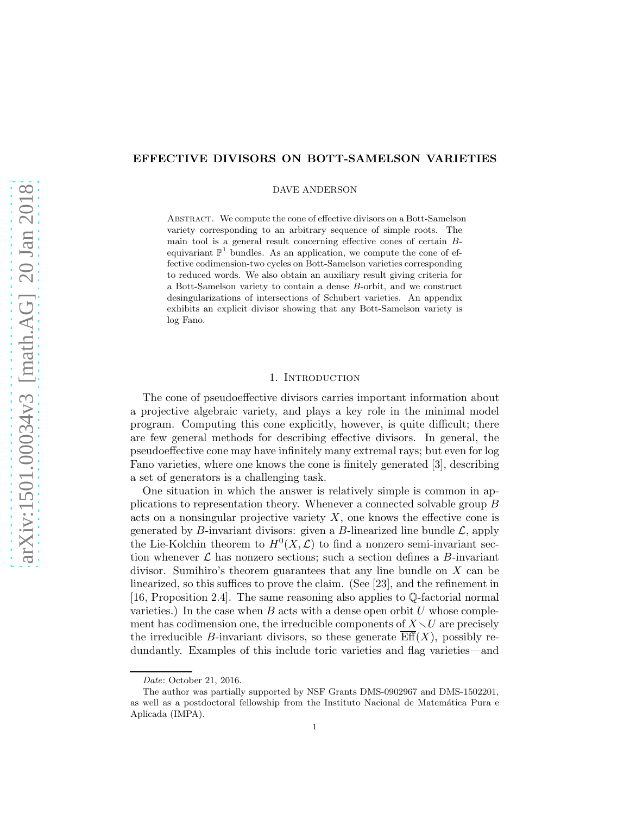# EFFECTIVE DIVISORS ON BOTT-SAMELSON VARIETIES

DAVE ANDERSON

Abstract. We compute the cone of effective divisors on a Bott-Samelson variety corresponding to an arbitrary sequence of simple roots. The main tool is a general result concerning effective cones of certain Bequivariant  $\mathbb{P}^1$  bundles. As an application, we compute the cone of effective codimension-two cycles on Bott-Samelson varieties corresponding to reduced words. We also obtain an auxiliary result giving criteria for a Bott-Samelson variety to contain a dense B-orbit, and we construct desingularizations of intersections of Schubert varieties. An appendix exhibits an explicit divisor showing that any Bott-Samelson variety is log Fano.

## 1. INTRODUCTION

The cone of pseudoeffective divisors carries important information about a projective algebraic variety, and plays a key role in the minimal model program. Computing this cone explicitly, however, is quite difficult; there are few general methods for describing effective divisors. In general, the pseudoeffective cone may have infinitely many extremal rays; but even for log Fano varieties, where one knows the cone is finitely generated [\[3\]](#page-20-0), describing a set of generators is a challenging task.

One situation in which the answer is relatively simple is common in applications to representation theory. Whenever a connected solvable group B acts on a nonsingular projective variety  $X$ , one knows the effective cone is generated by B-invariant divisors: given a B-linearized line bundle  $\mathcal{L}$ , apply the Lie-Kolchin theorem to  $H^0(X, \mathcal{L})$  to find a nonzero semi-invariant section whenever  $\mathcal L$  has nonzero sections; such a section defines a  $B$ -invariant divisor. Sumihiro's theorem guarantees that any line bundle on X can be linearized, so this suffices to prove the claim. (See [\[23\]](#page-20-1), and the refinement in [\[16,](#page-20-2) Proposition 2.4]. The same reasoning also applies to Q-factorial normal varieties.) In the case when  $B$  acts with a dense open orbit  $U$  whose complement has codimension one, the irreducible components of  $X\setminus U$  are precisely the irreducible B-invariant divisors, so these generate  $\text{Eff}(X)$ , possibly redundantly. Examples of this include toric varieties and flag varieties—and

Date: October 21, 2016.

The author was partially supported by NSF Grants DMS-0902967 and DMS-1502201, as well as a postdoctoral fellowship from the Instituto Nacional de Matemática Pura e Aplicada (IMPA).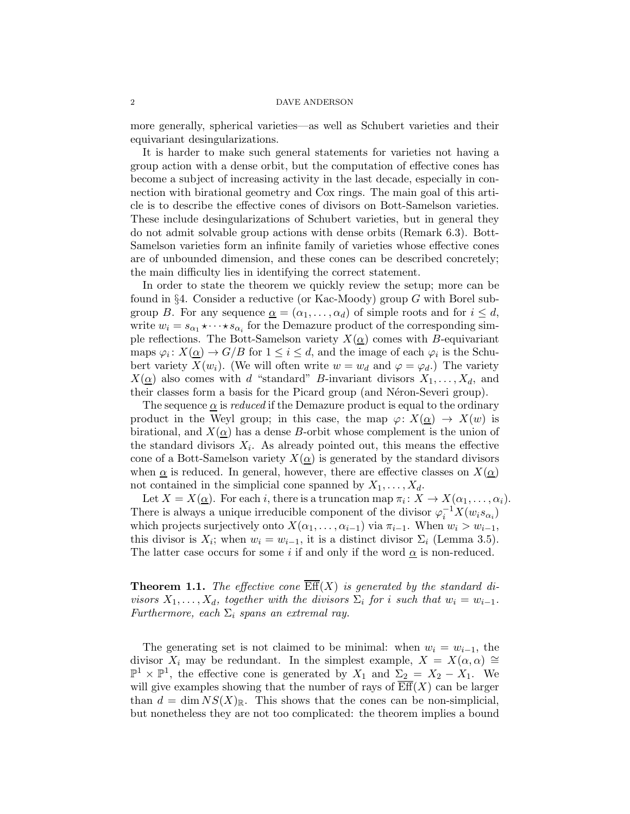more generally, spherical varieties—as well as Schubert varieties and their equivariant desingularizations.

It is harder to make such general statements for varieties not having a group action with a dense orbit, but the computation of effective cones has become a subject of increasing activity in the last decade, especially in connection with birational geometry and Cox rings. The main goal of this article is to describe the effective cones of divisors on Bott-Samelson varieties. These include desingularizations of Schubert varieties, but in general they do not admit solvable group actions with dense orbits (Remark [6.3\)](#page-16-0). Bott-Samelson varieties form an infinite family of varieties whose effective cones are of unbounded dimension, and these cones can be described concretely; the main difficulty lies in identifying the correct statement.

In order to state the theorem we quickly review the setup; more can be found in §[4.](#page-10-0) Consider a reductive (or Kac-Moody) group G with Borel subgroup B. For any sequence  $\underline{\alpha} = (\alpha_1, \dots, \alpha_d)$  of simple roots and for  $i \leq d$ , write  $w_i = s_{\alpha_1} \star \cdots \star s_{\alpha_i}$  for the Demazure product of the corresponding simple reflections. The Bott-Samelson variety  $X(\underline{\alpha})$  comes with B-equivariant maps  $\varphi_i \colon X(\underline{\alpha}) \to G/B$  for  $1 \leq i \leq d$ , and the image of each  $\varphi_i$  is the Schubert variety  $X(w_i)$ . (We will often write  $w = w_d$  and  $\varphi = \varphi_d$ .) The variety  $X(\underline{\alpha})$  also comes with d "standard" B-invariant divisors  $X_1, \ldots, X_d$ , and their classes form a basis for the Picard group (and Néron-Severi group).

The sequence  $\alpha$  is *reduced* if the Demazure product is equal to the ordinary product in the Weyl group; in this case, the map  $\varphi: X(\underline{\alpha}) \to X(w)$  is birational, and  $X(\underline{\alpha})$  has a dense B-orbit whose complement is the union of the standard divisors  $X_i$ . As already pointed out, this means the effective cone of a Bott-Samelson variety  $X(\underline{\alpha})$  is generated by the standard divisors when  $\alpha$  is reduced. In general, however, there are effective classes on  $X(\alpha)$ not contained in the simplicial cone spanned by  $X_1, \ldots, X_d$ .

Let  $X = X(\underline{\alpha})$ . For each i, there is a truncation map  $\pi_i \colon X \to X(\alpha_1, \ldots, \alpha_i)$ . There is always a unique irreducible component of the divisor  $\varphi_i^{-1}X(w_i s_{\alpha_i})$ which projects surjectively onto  $X(\alpha_1, \ldots, \alpha_{i-1})$  via  $\pi_{i-1}$ . When  $w_i > w_{i-1}$ , this divisor is  $X_i$ ; when  $w_i = w_{i-1}$ , it is a distinct divisor  $\Sigma_i$  (Lemma [3.5\)](#page-8-0). The latter case occurs for some i if and only if the word  $\alpha$  is non-reduced.

<span id="page-1-0"></span>**Theorem 1.1.** The effective cone  $\mathrm{Eff}(X)$  is generated by the standard divisors  $X_1, \ldots, X_d$ , together with the divisors  $\Sigma_i$  for i such that  $w_i = w_{i-1}$ . Furthermore, each  $\Sigma_i$  spans an extremal ray.

The generating set is not claimed to be minimal: when  $w_i = w_{i-1}$ , the divisor  $X_i$  may be redundant. In the simplest example,  $X = X(\alpha, \alpha) \cong$  $\mathbb{P}^1 \times \mathbb{P}^1$ , the effective cone is generated by  $X_1$  and  $\Sigma_2 = X_2 - X_1$ . We will give examples showing that the number of rays of  $\overline{\text{Eff}}(X)$  can be larger than  $d = \dim NS(X)_{\mathbb{R}}$ . This shows that the cones can be non-simplicial, but nonetheless they are not too complicated: the theorem implies a bound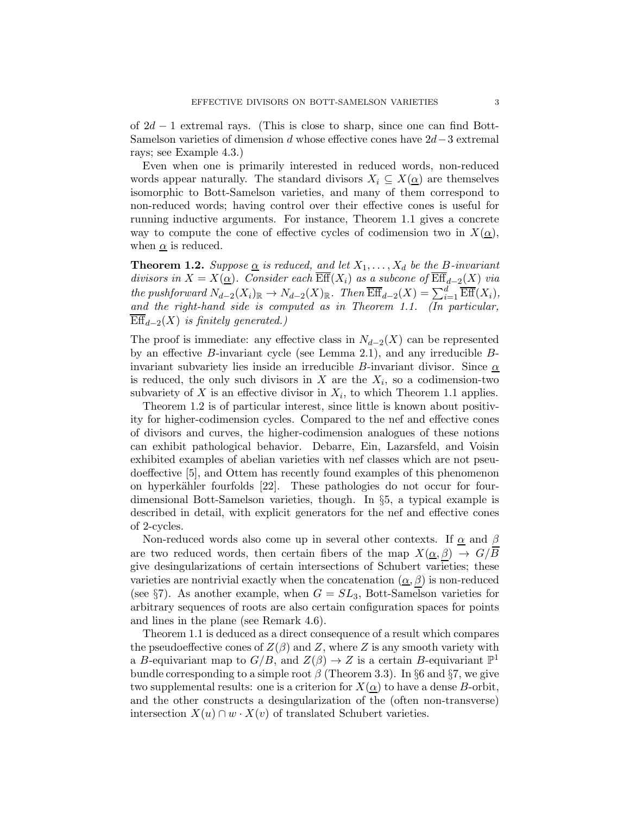of  $2d - 1$  extremal rays. (This is close to sharp, since one can find Bott-Samelson varieties of dimension d whose effective cones have 2d−3 extremal rays; see Example [4.3.](#page-12-0))

Even when one is primarily interested in reduced words, non-reduced words appear naturally. The standard divisors  $X_i \subseteq X(\underline{\alpha})$  are themselves isomorphic to Bott-Samelson varieties, and many of them correspond to non-reduced words; having control over their effective cones is useful for running inductive arguments. For instance, Theorem [1.1](#page-1-0) gives a concrete way to compute the cone of effective cycles of codimension two in  $X(\alpha)$ , when  $\alpha$  is reduced.

<span id="page-2-0"></span>**Theorem 1.2.** Suppose  $\underline{\alpha}$  is reduced, and let  $X_1, \ldots, X_d$  be the B-invariant divisors in  $X = X(\underline{\alpha})$ . Consider each  $\overline{\text{Eff}}(X_i)$  as a subcone of  $\overline{\text{Eff}}_{d-2}(X)$  via the pushforward  $N_{d-2}(X_i)_{\mathbb{R}} \to N_{d-2}(X)_{\mathbb{R}}$ . Then  $\overline{\text{Eff}}_{d-2}(X) = \sum_{i=1}^d \overline{\text{Eff}}(X_i)$ , and the right-hand side is computed as in Theorem [1.1.](#page-1-0) (In particular,  $\overline{\mathrm{Eff}}_{d-2}(X)$  is finitely generated.)

The proof is immediate: any effective class in  $N_{d-2}(X)$  can be represented by an effective B-invariant cycle (see Lemma [2.1\)](#page-4-0), and any irreducible Binvariant subvariety lies inside an irreducible B-invariant divisor. Since  $\alpha$ is reduced, the only such divisors in X are the  $X_i$ , so a codimension-two subvariety of X is an effective divisor in  $X_i$ , to which Theorem [1.1](#page-1-0) applies.

Theorem [1.2](#page-2-0) is of particular interest, since little is known about positivity for higher-codimension cycles. Compared to the nef and effective cones of divisors and curves, the higher-codimension analogues of these notions can exhibit pathological behavior. Debarre, Ein, Lazarsfeld, and Voisin exhibited examples of abelian varieties with nef classes which are not pseudoeffective [\[5\]](#page-20-3), and Ottem has recently found examples of this phenomenon on hyperkähler fourfolds [\[22\]](#page-20-4). These pathologies do not occur for fourdimensional Bott-Samelson varieties, though. In §[5,](#page-13-0) a typical example is described in detail, with explicit generators for the nef and effective cones of 2-cycles.

Non-reduced words also come up in several other contexts. If  $\alpha$  and  $\beta$ are two reduced words, then certain fibers of the map  $X(\underline{\alpha}, \beta) \rightarrow G/B$ give desingularizations of certain intersections of Schubert varieties; these varieties are nontrivial exactly when the concatenation  $(\underline{\alpha}, \beta)$  is non-reduced (see §[7\)](#page-17-0). As another example, when  $G = SL_3$ , Bott-Samelson varieties for arbitrary sequences of roots are also certain configuration spaces for points and lines in the plane (see Remark [4.6\)](#page-13-1).

Theorem [1.1](#page-1-0) is deduced as a direct consequence of a result which compares the pseudoeffective cones of  $Z(\beta)$  and Z, where Z is any smooth variety with a B-equivariant map to  $G/B$ , and  $Z(\beta) \to Z$  is a certain B-equivariant  $\mathbb{P}^1$ bundle corresponding to a simple root  $\beta$  (Theorem 3.3). In §[6](#page-15-0) and §[7,](#page-17-0) we give two supplemental results: one is a criterion for  $X(\underline{\alpha})$  to have a dense B-orbit, and the other constructs a desingularization of the (often non-transverse) intersection  $X(u) \cap w \cdot X(v)$  of translated Schubert varieties.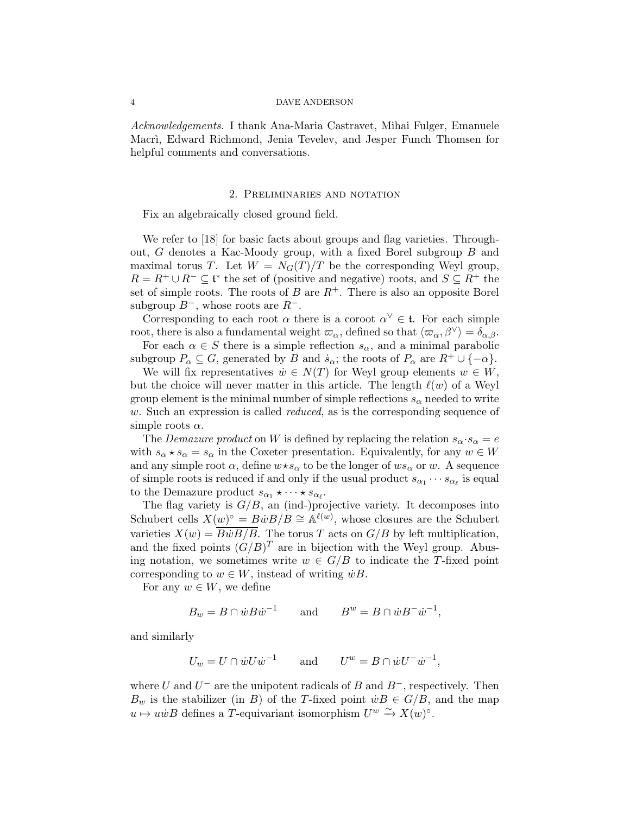Acknowledgements. I thank Ana-Maria Castravet, Mihai Fulger, Emanuele Macri, Edward Richmond, Jenia Tevelev, and Jesper Funch Thomsen for helpful comments and conversations.

### 2. Preliminaries and notation

Fix an algebraically closed ground field.

We refer to [\[18\]](#page-20-5) for basic facts about groups and flag varieties. Throughout, G denotes a Kac-Moody group, with a fixed Borel subgroup B and maximal torus T. Let  $W = N_G(T)/T$  be the corresponding Weyl group,  $R = R^+ \cup R^- \subseteq \mathfrak{t}^*$  the set of (positive and negative) roots, and  $S \subseteq R^+$  the set of simple roots. The roots of B are  $R^+$ . There is also an opposite Borel subgroup  $B^-$ , whose roots are  $R^-$ .

Corresponding to each root  $\alpha$  there is a coroot  $\alpha^{\vee} \in \mathfrak{t}$ . For each simple root, there is also a fundamental weight  $\varpi_{\alpha}$ , defined so that  $\langle \varpi_{\alpha}, \beta^{\vee} \rangle = \delta_{\alpha, \beta}$ .

For each  $\alpha \in S$  there is a simple reflection  $s_{\alpha}$ , and a minimal parabolic subgroup  $P_{\alpha} \subseteq G$ , generated by B and  $\dot{s}_{\alpha}$ ; the roots of  $P_{\alpha}$  are  $R^+ \cup \{-\alpha\}$ .

We will fix representatives  $\dot{w} \in N(T)$  for Weyl group elements  $w \in W$ , but the choice will never matter in this article. The length  $\ell(w)$  of a Weyl group element is the minimal number of simple reflections  $s_{\alpha}$  needed to write w. Such an expression is called *reduced*, as is the corresponding sequence of simple roots  $\alpha$ .

The Demazure product on W is defined by replacing the relation  $s_{\alpha} \cdot s_{\alpha} = e$ with  $s_{\alpha} \star s_{\alpha} = s_{\alpha}$  in the Coxeter presentation. Equivalently, for any  $w \in W$ and any simple root  $\alpha$ , define  $w \star s_\alpha$  to be the longer of  $ws_\alpha$  or w. A sequence of simple roots is reduced if and only if the usual product  $s_{\alpha_1} \cdots s_{\alpha_\ell}$  is equal to the Demazure product  $s_{\alpha_1} \star \cdots \star s_{\alpha_\ell}$ .

The flag variety is  $G/B$ , an (ind-)projective variety. It decomposes into Schubert cells  $X(w)^\circ = B\dot{w}B/B \cong \mathbb{A}^{\ell(w)}$ , whose closures are the Schubert varieties  $X(w) = \frac{\overline{BwB/B}}{\overline{BwB/B}}$ . The torus T acts on  $G/B$  by left multiplication, and the fixed points  $(G/B)^T$  are in bijection with the Weyl group. Abusing notation, we sometimes write  $w \in G/B$  to indicate the T-fixed point corresponding to  $w \in W$ , instead of writing  $\dot{w}B$ .

For any  $w \in W$ , we define

 $B_w = B \cap \dot{w} B \dot{w}^{-1}$  and  $B^w = B \cap \dot{w} B^- \dot{w}^{-1}$ ,

and similarly

$$
U_w = U \cap \dot{w} U \dot{w}^{-1} \quad \text{and} \quad U^w = B \cap \dot{w} U^{-} \dot{w}^{-1},
$$

where U and  $U^-$  are the unipotent radicals of B and  $B^-$ , respectively. Then  $B_w$  is the stabilizer (in B) of the T-fixed point  $\dot{w}B \in G/B$ , and the map  $u \mapsto u\dot{w}B$  defines a T-equivariant isomorphism  $U^w \stackrel{\sim}{\to} X(w)^\circ$ .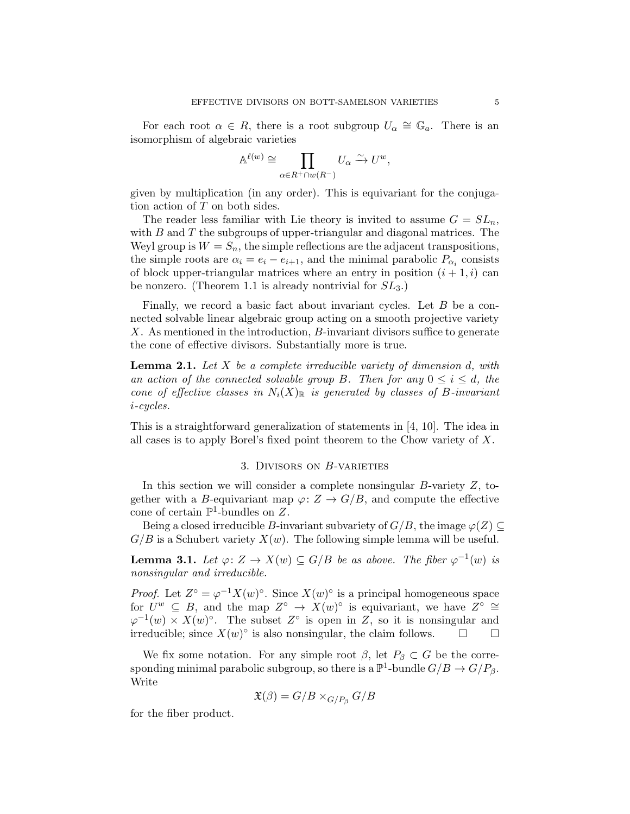For each root  $\alpha \in R$ , there is a root subgroup  $U_{\alpha} \cong \mathbb{G}_a$ . There is an isomorphism of algebraic varieties

$$
\mathbb{A}^{\ell(w)} \cong \prod_{\alpha \in R^+ \cap w(R^-)} U_{\alpha} \xrightarrow{\sim} U^w,
$$

given by multiplication (in any order). This is equivariant for the conjugation action of T on both sides.

The reader less familiar with Lie theory is invited to assume  $G = SL_n$ , with  $B$  and  $T$  the subgroups of upper-triangular and diagonal matrices. The Weyl group is  $W = S_n$ , the simple reflections are the adjacent transpositions, the simple roots are  $\alpha_i = e_i - e_{i+1}$ , and the minimal parabolic  $P_{\alpha_i}$  consists of block upper-triangular matrices where an entry in position  $(i + 1, i)$  can be nonzero. (Theorem [1.1](#page-1-0) is already nontrivial for  $SL_3$ .)

Finally, we record a basic fact about invariant cycles. Let  $B$  be a connected solvable linear algebraic group acting on a smooth projective variety X. As mentioned in the introduction, B-invariant divisors suffice to generate the cone of effective divisors. Substantially more is true.

<span id="page-4-0"></span>**Lemma 2.1.** Let  $X$  be a complete irreducible variety of dimension  $d$ , with an action of the connected solvable group B. Then for any  $0 \le i \le d$ , the cone of effective classes in  $N_i(X)_{\mathbb{R}}$  is generated by classes of B-invariant i-cycles.

<span id="page-4-2"></span>This is a straightforward generalization of statements in [\[4,](#page-20-6) [10\]](#page-20-7). The idea in all cases is to apply Borel's fixed point theorem to the Chow variety of X.

### 3. Divisors on B-varieties

In this section we will consider a complete nonsingular  $B$ -variety  $Z$ , together with a B-equivariant map  $\varphi: Z \to G/B$ , and compute the effective cone of certain  $\mathbb{P}^1$ -bundles on Z.

Being a closed irreducible B-invariant subvariety of  $G/B$ , the image  $\varphi(Z) \subseteq$  $G/B$  is a Schubert variety  $X(w)$ . The following simple lemma will be useful.

<span id="page-4-1"></span>**Lemma 3.1.** Let  $\varphi: Z \to X(w) \subseteq G/B$  be as above. The fiber  $\varphi^{-1}(w)$  is nonsingular and irreducible.

*Proof.* Let  $Z^{\circ} = \varphi^{-1} X(w)^{\circ}$ . Since  $X(w)^{\circ}$  is a principal homogeneous space for  $U^w \subseteq B$ , and the map  $Z^{\circ} \to X(w)^{\circ}$  is equivariant, we have  $Z^{\circ} \cong$  $\varphi^{-1}(w) \times X(w)^\circ$ . The subset  $Z^\circ$  is open in  $Z$ , so it is nonsingular and irreducible; since  $X(w)^\circ$  is also nonsingular, the claim follows.  $\square$ 

We fix some notation. For any simple root  $\beta$ , let  $P_{\beta} \subset G$  be the corresponding minimal parabolic subgroup, so there is a  $\mathbb{P}^1$ -bundle  $G/B \to G/P_\beta$ . Write

$$
\mathfrak{X}(\beta) = G/B \times_{G/P_{\beta}} G/B
$$

for the fiber product.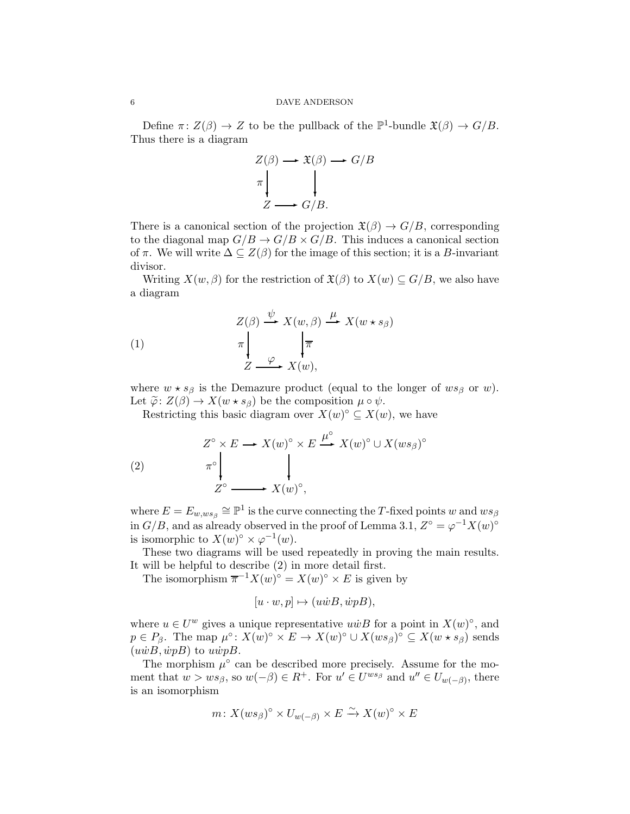Define  $\pi: Z(\beta) \to Z$  to be the pullback of the  $\mathbb{P}^1$ -bundle  $\mathfrak{X}(\beta) \to G/B$ . Thus there is a diagram

$$
Z(\beta) \longrightarrow \mathfrak{X}(\beta) \longrightarrow G/B
$$
  

$$
\pi \downarrow \qquad \qquad \downarrow
$$
  

$$
Z \longrightarrow G/B.
$$

There is a canonical section of the projection  $\mathfrak{X}(\beta) \to G/B$ , corresponding to the diagonal map  $G/B \to G/B \times G/B$ . This induces a canonical section of  $\pi$ . We will write  $\Delta \subseteq Z(\beta)$  for the image of this section; it is a B-invariant divisor.

Writing  $X(w, \beta)$  for the restriction of  $\mathfrak{X}(\beta)$  to  $X(w) \subseteq G/B$ , we also have a diagram

<span id="page-5-1"></span>(1)  
\n
$$
\begin{array}{c}\nZ(\beta) \xrightarrow{\psi} X(w, \beta) \xrightarrow{\mu} X(w \star s_{\beta}) \\
\pi \downarrow \pi \\
Z \xrightarrow{\varphi} X(w),\n\end{array}
$$

where  $w \star s_{\beta}$  is the Demazure product (equal to the longer of  $ws_{\beta}$  or w). Let  $\widetilde{\varphi}$ :  $Z(\beta) \to X(w \star s_{\beta})$  be the composition  $\mu \circ \psi$ .

Restricting this basic diagram over  $X(w)^\circ \subseteq X(w)$ , we have

<span id="page-5-0"></span>(2) 
$$
Z^{\circ} \times E \longrightarrow X(w)^{\circ} \times E \stackrel{\mu^{\circ}}{\longrightarrow} X(w)^{\circ} \cup X(ws_{\beta})^{\circ}
$$

$$
Z^{\circ} \longrightarrow X(w)^{\circ},
$$

where  $E = E_{w,ws_\beta} \cong \mathbb{P}^1$  is the curve connecting the T-fixed points w and  $ws_\beta$ in  $G/B$ , and as already observed in the proof of Lemma [3.1,](#page-4-1)  $Z^{\circ} = \varphi^{-1} X(w)^{\circ}$ is isomorphic to  $X(w)^\circ \times \varphi^{-1}(w)$ .

These two diagrams will be used repeatedly in proving the main results. It will be helpful to describe [\(2\)](#page-5-0) in more detail first.

The isomorphism  $\overline{\pi}^{-1}X(w)^{\circ} = X(w)^{\circ} \times E$  is given by

$$
[u \cdot w, p] \mapsto (u\dot{w}B, \dot{w}pB),
$$

where  $u \in U^w$  gives a unique representative  $u \dot{w} B$  for a point in  $X(w)^\circ$ , and  $p \in P_\beta$ . The map  $\mu^\circ \colon X(w)^\circ \times E \to X(w)^\circ \cup X(ws_\beta)^\circ \subseteq X(w \star s_\beta)$  sends  $(u\dot{w}B, \dot{w}pB)$  to  $u\dot{w}pB$ .

The morphism  $\mu^{\circ}$  can be described more precisely. Assume for the moment that  $w > ws_{\beta}$ , so  $w(-\beta) \in R^+$ . For  $u' \in U^{ws_{\beta}}$  and  $u'' \in U_{w(-\beta)}$ , there is an isomorphism

$$
m\colon X(ws_\beta)^\circ \times U_{w(-\beta)} \times E \xrightarrow{\sim} X(w)^\circ \times E
$$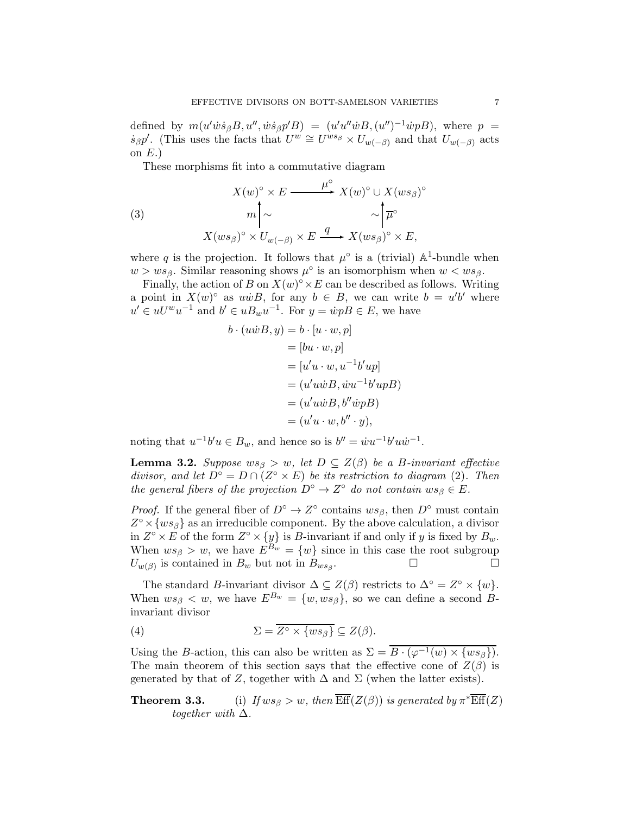defined by  $m(u' \dot{w} \dot{s}_{\beta} B, u'', \dot{w} \dot{s}_{\beta} p' B) = (u' u'' \dot{w} B, (u'')^{-1} \dot{w} p B)$ , where  $p =$  $\dot{s}_{\beta}p'$ . (This uses the facts that  $U^w \cong U^{ws_{\beta}} \times U_{w(-\beta)}$  and that  $U_{w(-\beta)}$  acts on  $E.$ )

<span id="page-6-1"></span>These morphisms fit into a commutative diagram

(3)  

$$
X(w)^{\circ} \times E \xrightarrow{\mu^{\circ}} X(w)^{\circ} \cup X(ws_{\beta})^{\circ}
$$

$$
m \downarrow \sim \sim \downarrow \overline{\mu^{\circ}}
$$

$$
X(ws_{\beta})^{\circ} \times U_{w(-\beta)} \times E \xrightarrow{q} X(ws_{\beta})^{\circ} \times E,
$$

where q is the projection. It follows that  $\mu^{\circ}$  is a (trivial)  $\mathbb{A}^1$ -bundle when  $w > ws_{\beta}$ . Similar reasoning shows  $\mu^{\circ}$  is an isomorphism when  $w < ws_{\beta}$ .

Finally, the action of B on  $X(w)^\circ \times E$  can be described as follows. Writing a point in  $X(w)^\circ$  as  $u\dot{w}B$ , for any  $b \in B$ , we can write  $b = u'b'$  where  $u' \in uU^w u^{-1}$  and  $b' \in uB_w u^{-1}$ . For  $y = \dot{w}pB \in E$ , we have

$$
b \cdot (u\dot{w}B, y) = b \cdot [u \cdot w, p]
$$
  
=  $[bu \cdot w, p]$   
=  $[u'u \cdot w, u^{-1}b'up]$   
=  $(u'u\dot{w}B, \dot{w}u^{-1}b'upB)$   
=  $(u'u\dot{w}B, b''\dot{w}pB)$   
=  $(u'u \cdot w, b'' \cdot y),$ 

noting that  $u^{-1}b'u \in B_w$ , and hence so is  $b'' = \dot{w}u^{-1}b'u\dot{w}^{-1}$ .

<span id="page-6-0"></span>**Lemma 3.2.** Suppose  $ws_{\beta} > w$ , let  $D \subseteq Z(\beta)$  be a B-invariant effective divisor, and let  $\widehat{D}^{\circ} = D \cap (Z^{\circ} \times E)$  be its restriction to diagram [\(2\)](#page-5-0). Then the general fibers of the projection  $D^{\circ} \to Z^{\circ}$  do not contain  $ws_{\beta} \in E$ .

*Proof.* If the general fiber of  $D^{\circ} \to Z^{\circ}$  contains  $ws_{\beta}$ , then  $D^{\circ}$  must contain  $Z^{\circ} \times \{ws_{\beta}\}\$ as an irreducible component. By the above calculation, a divisor in  $Z^{\circ} \times E$  of the form  $Z^{\circ} \times \{y\}$  is B-invariant if and only if y is fixed by  $B_w$ . When  $ws_{\beta} > w$ , we have  $E^{\beta w} = \{w\}$  since in this case the root subgroup  $U_{w(\beta)}$  is contained in  $B_w$  but not in  $B_{ws_\beta}$ . — Протива и постание на политички села:<br>Примечание на политички села: Примечание и постание и постание и постание и постание и постание и постание и п<br>Примечание и постание и постание и постание и постание и постание и

The standard *B*-invariant divisor  $\Delta \subseteq Z(\beta)$  restricts to  $\Delta^{\circ} = Z^{\circ} \times \{w\}.$ When  $ws_{\beta} < w$ , we have  $E^{B_w} = \{w, ws_{\beta}\}\)$ , so we can define a second  $B$ invariant divisor

(4) 
$$
\Sigma = \overline{Z^{\circ} \times \{ws_{\beta}\}} \subseteq Z(\beta).
$$

Using the B-action, this can also be written as  $\Sigma = \overline{B \cdot (\varphi^{-1}(w) \times \{ws_\beta\})}$ . The main theorem of this section says that the effective cone of  $Z(\beta)$  is generated by that of Z, together with  $\Delta$  and  $\Sigma$  (when the latter exists).

**Theorem 3.3.** (i) If  $ws_{\beta} > w$ , then  $\overline{\text{Eff}}(Z(\beta))$  is generated by  $\pi^*\overline{\text{Eff}}(Z)$ together with  $\Delta$ .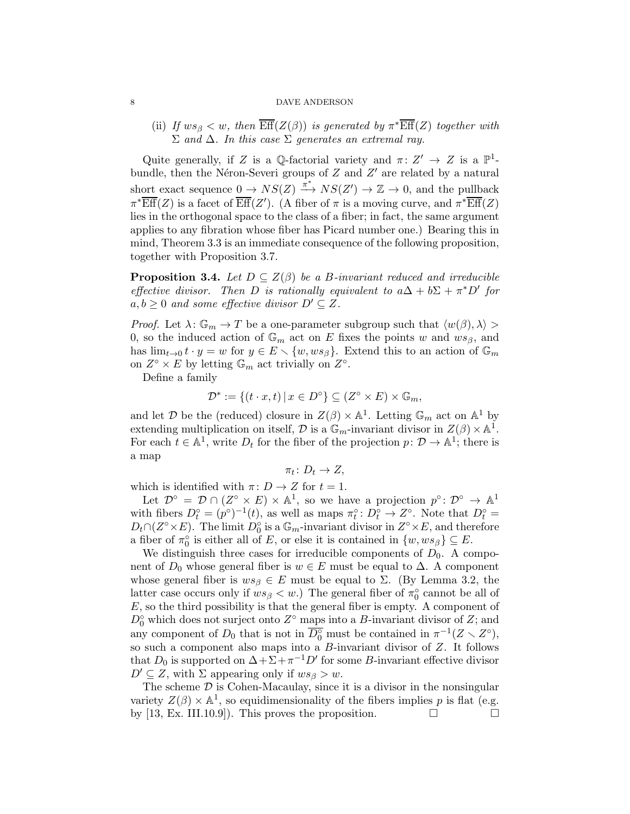(ii) If  $ws_{\beta} < w$ , then  $\overline{\text{Eff}}(Z(\beta))$  is generated by  $\pi^*\overline{\text{Eff}}(Z)$  together with  $\Sigma$  and  $\Delta$ . In this case  $\Sigma$  generates an extremal ray.

Quite generally, if Z is a Q-factorial variety and  $\pi: Z' \to Z$  is a  $\mathbb{P}^1$ bundle, then the Néron-Severi groups of  $Z$  and  $Z'$  are related by a natural short exact sequence  $0 \to NS(Z) \stackrel{\pi^*}{\longrightarrow} NS(Z') \to \mathbb{Z} \to 0$ , and the pullback  $\pi^* \overline{\text{Eff}}(Z)$  is a facet of  $\overline{\text{Eff}}(Z')$ . (A fiber of  $\pi$  is a moving curve, and  $\pi^* \overline{\text{Eff}}(Z)$ lies in the orthogonal space to the class of a fiber; in fact, the same argument applies to any fibration whose fiber has Picard number one.) Bearing this in mind, Theorem 3.3 is an immediate consequence of the following proposition, together with Proposition [3.7.](#page-9-0)

<span id="page-7-0"></span>**Proposition 3.4.** Let  $D \subseteq Z(\beta)$  be a B-invariant reduced and irreducible effective divisor. Then D is rationally equivalent to  $a\Delta + b\Sigma + \pi^*D'$  for  $a, b \geq 0$  and some effective divisor  $D' \subseteq Z$ .

*Proof.* Let  $\lambda: \mathbb{G}_m \to T$  be a one-parameter subgroup such that  $\langle w(\beta), \lambda \rangle >$ 0, so the induced action of  $\mathbb{G}_m$  act on E fixes the points w and  $ws_\beta$ , and has  $\lim_{t\to 0} t \cdot y = w$  for  $y \in E \setminus \{w, ws_\beta\}$ . Extend this to an action of  $\mathbb{G}_m$ on  $Z^{\circ} \times E$  by letting  $\mathbb{G}_m$  act trivially on  $Z^{\circ}$ .

Define a family

$$
\mathcal{D}^* := \{ (t \cdot x, t) \, | \, x \in D^{\circ} \} \subseteq (Z^{\circ} \times E) \times \mathbb{G}_m,
$$

and let  $\mathcal D$  be the (reduced) closure in  $Z(\beta) \times \mathbb{A}^1$ . Letting  $\mathbb{G}_m$  act on  $\mathbb{A}^1$  by extending multiplication on itself,  $\mathcal D$  is a  $\mathbb G_m$ -invariant divisor in  $Z(\beta) \times \mathbb A^1$ . For each  $t \in \mathbb{A}^1$ , write  $D_t$  for the fiber of the projection  $p: \mathcal{D} \to \mathbb{A}^1$ ; there is a map

$$
\pi_t\colon D_t\to Z,
$$

which is identified with  $\pi: D \to Z$  for  $t = 1$ .

Let  $\mathcal{D}^{\circ} = \mathcal{D} \cap (Z^{\circ} \times E) \times \mathbb{A}^{1}$ , so we have a projection  $p^{\circ} \colon \mathcal{D}^{\circ} \to \mathbb{A}^{1}$ with fibers  $D_t^{\circ} = (p^{\circ})^{-1}(t)$ , as well as maps  $\pi_t^{\circ} : D_t^{\circ} \to Z^{\circ}$ . Note that  $D_t^{\circ} =$  $D_t \cap (Z^{\circ} \times E)$ . The limit  $D_0^{\circ}$  is a  $\mathbb{G}_m$ -invariant divisor in  $Z^{\circ} \times E$ , and therefore a fiber of  $\pi_0^{\circ}$  $\delta_0$  is either all of E, or else it is contained in  $\{w, ws_\beta\} \subseteq E$ .

We distinguish three cases for irreducible components of  $D_0$ . A component of  $D_0$  whose general fiber is  $w \in E$  must be equal to  $\Delta$ . A component whose general fiber is  $ws_\beta \in E$  must be equal to  $\Sigma$ . (By Lemma [3.2,](#page-6-0) the latter case occurs only if  $ws_{\beta} < w$ .) The general fiber of  $\pi_0^{\circ}$  $_0^{\circ}$  cannot be all of  $E$ , so the third possibility is that the general fiber is empty. A component of  $D_0^{\circ}$  which does not surject onto  $Z^{\circ}$  maps into a B-invariant divisor of Z; and any component of  $D_0$  that is not in  $\overline{D_0^{\circ}}$  must be contained in  $\pi^{-1}(Z \setminus Z^{\circ}),$ so such a component also maps into a B-invariant divisor of Z. It follows that  $D_0$  is supported on  $\Delta + \Sigma + \pi^{-1}D'$  for some B-invariant effective divisor  $D' \subseteq Z$ , with  $\Sigma$  appearing only if  $ws_{\beta} > w$ .

The scheme  $D$  is Cohen-Macaulay, since it is a divisor in the nonsingular variety  $Z(\beta) \times \mathbb{A}^1$ , so equidimensionality of the fibers implies p is flat (e.g. by [\[13,](#page-20-8) Ex. III.10.9]). This proves the proposition.  $\Box$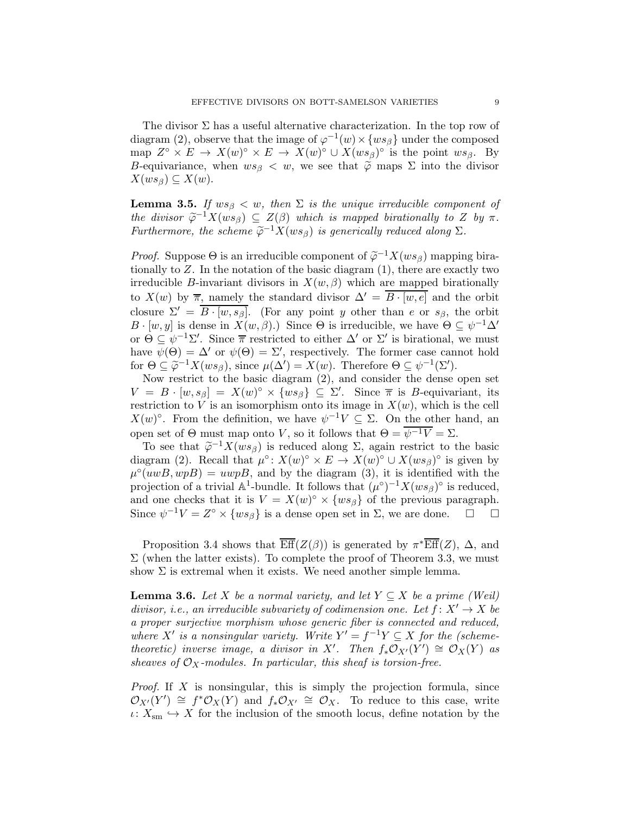The divisor  $\Sigma$  has a useful alternative characterization. In the top row of diagram [\(2\)](#page-5-0), observe that the image of  $\varphi^{-1}(w) \times \{ws_\beta\}$  under the composed map  $Z^{\circ} \times E \to X(w)^{\circ} \times E \to X(w)^{\circ} \cup X(ws_{\beta})^{\circ}$  is the point  $ws_{\beta}$ . By B-equivariance, when  $ws_{\beta} < w$ , we see that  $\tilde{\varphi}$  maps  $\Sigma$  into the divisor  $X(ws_\beta)\subseteq X(w).$ 

<span id="page-8-0"></span>**Lemma 3.5.** If  $ws_{\beta} < w$ , then  $\Sigma$  is the unique irreducible component of the divisor  $\widetilde{\varphi}^{-1}X(ws_\beta)\subseteq Z(\beta)$  which is mapped birationally to Z by  $\pi$ . Furthermore, the scheme  $\widetilde{\varphi}^{-1}X(ws_\beta)$  is generically reduced along  $\Sigma$ .

*Proof.* Suppose  $\Theta$  is an irreducible component of  $\tilde{\varphi}^{-1}X(ws_\beta)$  mapping birationally to  $Z$ . In the notation of the basic diagram  $(1)$ , there are exactly two irreducible B-invariant divisors in  $X(w, \beta)$  which are mapped birationally to  $X(w)$  by  $\overline{\pi}$ , namely the standard divisor  $\Delta' = B \cdot [w, e]$  and the orbit closure  $\Sigma' = \overline{B \cdot [w, s_\beta]}$ . (For any point y other than e or  $s_\beta$ , the orbit  $B \cdot [w, y]$  is dense in  $X(w, \beta)$ .) Since  $\Theta$  is irreducible, we have  $\Theta \subseteq \psi^{-1} \Delta'$ or  $\Theta \subseteq \psi^{-1}\Sigma'$ . Since  $\overline{\pi}$  restricted to either  $\Delta'$  or  $\Sigma'$  is birational, we must have  $\psi(\Theta) = \Delta'$  or  $\psi(\Theta) = \Sigma'$ , respectively. The former case cannot hold for  $\Theta \subseteq \widetilde{\varphi}^{-1}X(ws_\beta)$ , since  $\mu(\Delta') = X(w)$ . Therefore  $\Theta \subseteq \psi^{-1}(\Sigma')$ .

Now restrict to the basic diagram [\(2\)](#page-5-0), and consider the dense open set  $V = B \cdot [w, s_{\beta}] = X(w)^{\circ} \times \{ws_{\beta}\} \subseteq \Sigma'$ . Since  $\overline{\pi}$  is B-equivariant, its restriction to V is an isomorphism onto its image in  $X(w)$ , which is the cell X(w)<sup>o</sup>. From the definition, we have  $\psi^{-1}V \subseteq \Sigma$ . On the other hand, an open set of Θ must map onto V, so it follows that  $\Theta = \overline{\psi^{-1}V} = \Sigma$ .

To see that  $\tilde{\varphi}^{-1}X(ws_\beta)$  is reduced along  $\Sigma$ , again restrict to the basic diagram [\(2\)](#page-5-0). Recall that  $\mu^{\circ} \colon X(w)^{\circ} \times E \to X(w)^{\circ} \cup X(ws_{\beta})^{\circ}$  is given by  $\mu^{\circ}(uwB, wpB) = uwpB$ , and by the diagram [\(3\)](#page-6-1), it is identified with the projection of a trivial  $\mathbb{A}^1$ -bundle. It follows that  $(\mu^\circ)^{-1}X(ws_\beta)^\circ$  is reduced, and one checks that it is  $V = X(w)^\circ \times \{ws_\beta\}$  of the previous paragraph. Since  $\psi^{-1}V = Z^{\circ} \times \{ws_{\beta}\}\$ is a dense open set in  $\Sigma$ , we are done.  $\square$ 

Proposition [3.4](#page-7-0) shows that  $\overline{\text{Eff}}(Z(\beta))$  is generated by  $\pi^*\overline{\text{Eff}}(Z)$ ,  $\Delta$ , and  $\Sigma$  (when the latter exists). To complete the proof of Theorem 3.3, we must show  $\Sigma$  is extremal when it exists. We need another simple lemma.

<span id="page-8-1"></span>**Lemma 3.6.** Let X be a normal variety, and let  $Y \subseteq X$  be a prime (Weil) divisor, i.e., an irreducible subvariety of codimension one. Let  $f: X' \to X$  be a proper surjective morphism whose generic fiber is connected and reduced, where X' is a nonsingular variety. Write  $Y' = f^{-1}Y \subseteq X$  for the (schemetheoretic) inverse image, a divisor in X'. Then  $f_*\mathcal{O}_{X'}(Y') \cong \mathcal{O}_X(Y)$  as sheaves of  $\mathcal{O}_X$ -modules. In particular, this sheaf is torsion-free.

Proof. If X is nonsingular, this is simply the projection formula, since  $\mathcal{O}_{X'}(Y') \cong f^*\mathcal{O}_X(Y)$  and  $f_*\mathcal{O}_{X'} \cong \mathcal{O}_X$ . To reduce to this case, write  $\iota: X_{\text{sm}} \hookrightarrow X$  for the inclusion of the smooth locus, define notation by the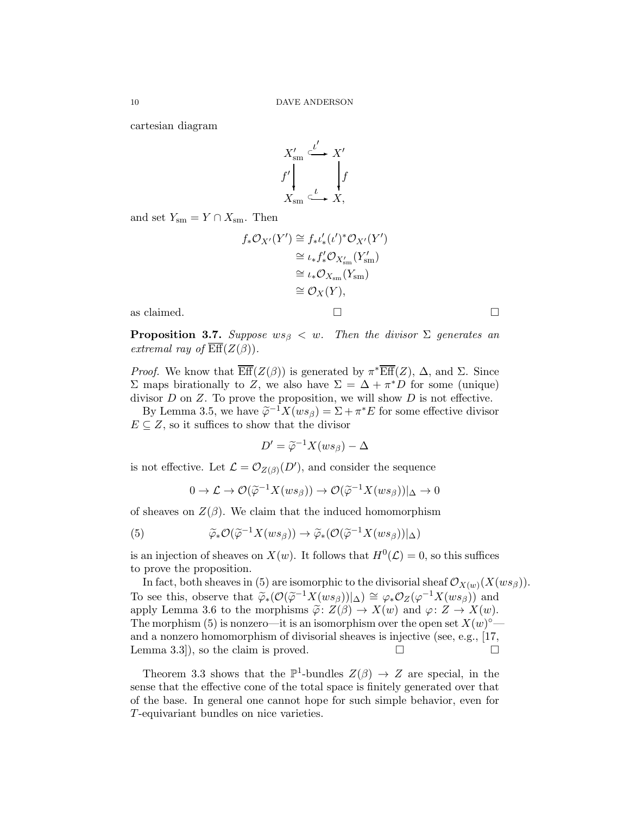cartesian diagram

$$
X'_{\rm sm} \xrightarrow{\iota'} X'
$$
  

$$
f' \downarrow \qquad \qquad f
$$
  

$$
X_{\rm sm} \xrightarrow{\iota} X,
$$

and set  $Y_{\rm sm} = Y \cap X_{\rm sm}$ . Then

$$
f_*\mathcal{O}_{X'}(Y') \cong f_*\iota'_*(\iota')^*\mathcal{O}_{X'}(Y')
$$
  
\n
$$
\cong \iota_* f'_*\mathcal{O}_{X'_{\mathrm{sm}}}(Y'_{\mathrm{sm}})
$$
  
\n
$$
\cong \iota_* \mathcal{O}_{X_{\mathrm{sm}}}(Y_{\mathrm{sm}})
$$
  
\n
$$
\cong \mathcal{O}_X(Y),
$$
  
\nas claimed.

<span id="page-9-0"></span>**Proposition 3.7.** Suppose  $ws_{\beta} < w$ . Then the divisor  $\Sigma$  generates an extremal ray of  $\overline{\text{Eff}}(Z(\beta)).$ 

*Proof.* We know that  $\overline{\text{Eff}}(Z(\beta))$  is generated by  $\pi^*\overline{\text{Eff}}(Z)$ ,  $\Delta$ , and  $\Sigma$ . Since Σ maps birationally to Z, we also have  $\Sigma = \Delta + \pi^* D$  for some (unique) divisor  $D$  on  $Z$ . To prove the proposition, we will show  $D$  is not effective.

By Lemma [3.5,](#page-8-0) we have  $\tilde{\varphi}^{-1}X(ws_\beta) = \Sigma + \pi^*E$  for some effective divisor  $E \subseteq Z$ , so it suffices to show that the divisor

$$
D' = \widetilde{\varphi}^{-1} X(ws_{\beta}) - \Delta
$$

is not effective. Let  $\mathcal{L} = \mathcal{O}_{Z(\beta)}(D')$ , and consider the sequence

<span id="page-9-1"></span>
$$
0 \to \mathcal{L} \to \mathcal{O}(\widetilde{\varphi}^{-1}X(ws_\beta)) \to \mathcal{O}(\widetilde{\varphi}^{-1}X(ws_\beta))|_{\Delta} \to 0
$$

of sheaves on  $Z(\beta)$ . We claim that the induced homomorphism

(5) 
$$
\widetilde{\varphi}_* \mathcal{O}(\widetilde{\varphi}^{-1} X(ws_\beta)) \to \widetilde{\varphi}_* (\mathcal{O}(\widetilde{\varphi}^{-1} X(ws_\beta))|_{\Delta})
$$

is an injection of sheaves on  $X(w)$ . It follows that  $H^0(\mathcal{L}) = 0$ , so this suffices to prove the proposition.

In fact, both sheaves in [\(5\)](#page-9-1) are isomorphic to the divisorial sheaf  $\mathcal{O}_{X(w)}(X(ws_\beta)).$ To see this, observe that  $\widetilde{\varphi}_*(\mathcal{O}(\widetilde{\varphi}^{-1}X(ws_\beta)))|\Delta) \cong \varphi_*\mathcal{O}_Z(\varphi^{-1}X(ws_\beta))$  and apply Lemma [3.6](#page-8-1) to the morphisms  $\tilde{\varphi} : Z(\beta) \to X(w)$  and  $\varphi : Z \to X(w)$ . The morphism [\(5\)](#page-9-1) is nonzero—it is an isomorphism over the open set  $X(w)^\circ$  and a nonzero homomorphism of divisorial sheaves is injective (see, e.g., [\[17,](#page-20-9) Lemma 3.3, so the claim is proved.  $\square$ 

Theorem 3.3 shows that the  $\mathbb{P}^1$ -bundles  $Z(\beta) \to Z$  are special, in the sense that the effective cone of the total space is finitely generated over that of the base. In general one cannot hope for such simple behavior, even for T-equivariant bundles on nice varieties.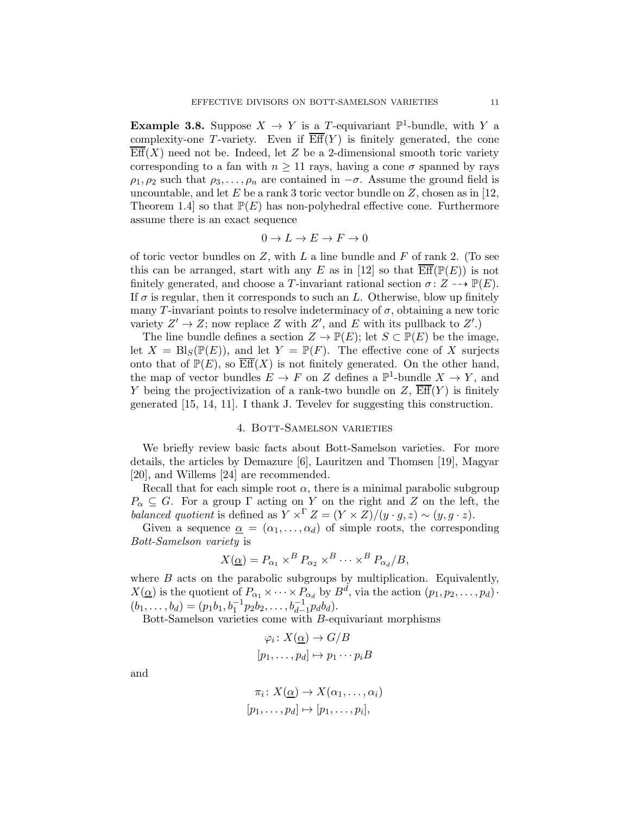**Example 3.8.** Suppose  $X \to Y$  is a T-equivariant  $\mathbb{P}^1$ -bundle, with Y a complexity-one T-variety. Even if  $\overline{Eff}(Y)$  is finitely generated, the cone  $\overline{\text{Eff}}(X)$  need not be. Indeed, let Z be a 2-dimensional smooth toric variety corresponding to a fan with  $n \geq 11$  rays, having a cone  $\sigma$  spanned by rays  $\rho_1, \rho_2$  such that  $\rho_3, \ldots, \rho_n$  are contained in  $-\sigma$ . Assume the ground field is uncountable, and let  $E$  be a rank 3 toric vector bundle on  $Z$ , chosen as in [\[12,](#page-20-10) Theorem 1.4 so that  $\mathbb{P}(E)$  has non-polyhedral effective cone. Furthermore assume there is an exact sequence

$$
0 \to L \to E \to F \to 0
$$

of toric vector bundles on Z, with L a line bundle and F of rank 2. (To see this can be arranged, start with any E as in [\[12\]](#page-20-10) so that  $\overline{\text{Eff}}(\mathbb{P}(E))$  is not finitely generated, and choose a T-invariant rational section  $\sigma: Z \dashrightarrow \mathbb{P}(E)$ . If  $\sigma$  is regular, then it corresponds to such an L. Otherwise, blow up finitely many T-invariant points to resolve indeterminacy of  $\sigma$ , obtaining a new toric variety  $Z' \to Z$ ; now replace Z with  $Z'$ , and E with its pullback to  $Z'$ .)

The line bundle defines a section  $Z \to \mathbb{P}(E)$ ; let  $S \subset \mathbb{P}(E)$  be the image, let  $X = Bl_S(\mathbb{P}(E))$ , and let  $Y = \mathbb{P}(F)$ . The effective cone of X surjects onto that of  $\mathbb{P}(E)$ , so  $\overline{\text{Eff}}(X)$  is not finitely generated. On the other hand, the map of vector bundles  $E \to F$  on Z defines a  $\mathbb{P}^1$ -bundle  $X \to Y$ , and Y being the projectivization of a rank-two bundle on  $Z$ ,  $\overline{\text{Eff}}(Y)$  is finitely generated [\[15,](#page-20-11) [14,](#page-20-12) [11\]](#page-20-13). I thank J. Tevelev for suggesting this construction.

## 4. Bott-Samelson varieties

<span id="page-10-0"></span>We briefly review basic facts about Bott-Samelson varieties. For more details, the articles by Demazure [\[6\]](#page-20-14), Lauritzen and Thomsen [\[19\]](#page-20-15), Magyar [\[20\]](#page-20-16), and Willems [\[24\]](#page-20-17) are recommended.

Recall that for each simple root  $\alpha$ , there is a minimal parabolic subgroup  $P_{\alpha} \subseteq G$ . For a group  $\Gamma$  acting on Y on the right and Z on the left, the balanced quotient is defined as  $Y \times^{\Gamma} Z = (Y \times Z)/(y \cdot g, z) \sim (y, g \cdot z)$ .

Given a sequence  $\underline{\alpha} = (\alpha_1, \dots, \alpha_d)$  of simple roots, the corresponding Bott-Samelson variety is

$$
X(\underline{\alpha}) = P_{\alpha_1} \times^B P_{\alpha_2} \times^B \cdots \times^B P_{\alpha_d}/B,
$$

where  $B$  acts on the parabolic subgroups by multiplication. Equivalently,  $X(\underline{\alpha})$  is the quotient of  $P_{\alpha_1} \times \cdots \times P_{\alpha_d}$  by  $B^d$ , via the action  $(p_1, p_2, \ldots, p_d)$ .  $(b_1, \ldots, b_d) = (p_1b_1, b_1^{-1}p_2b_2, \ldots, b_{d-1}^{-1}p_d b_d).$ 

Bott-Samelson varieties come with B-equivariant morphisms

$$
\varphi_i \colon X(\underline{\alpha}) \to G/B
$$

$$
[p_1, \dots, p_d] \mapsto p_1 \cdots p_i B
$$

and

$$
\pi_i \colon X(\underline{\alpha}) \to X(\alpha_1, \dots, \alpha_i)
$$

$$
[p_1, \dots, p_d] \mapsto [p_1, \dots, p_i],
$$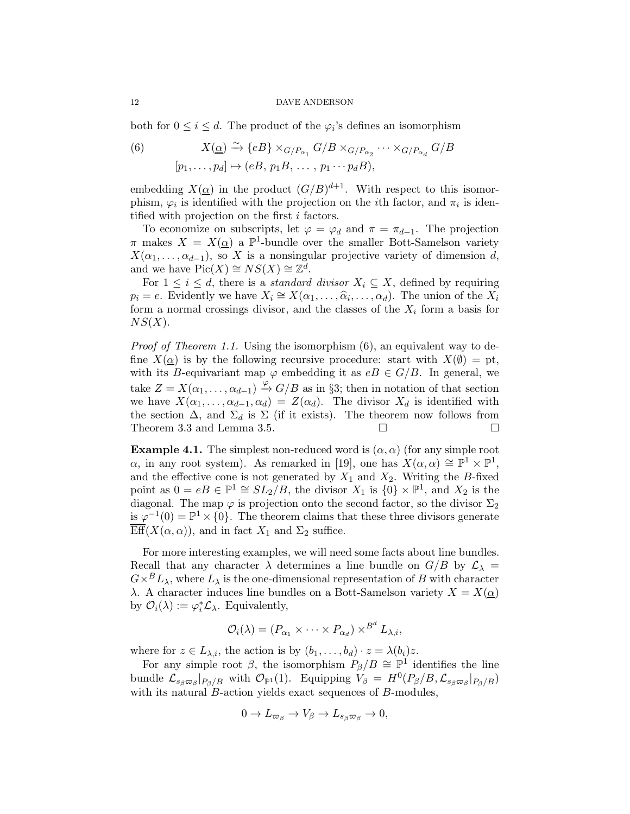both for  $0 \leq i \leq d$ . The product of the  $\varphi_i$ 's defines an isomorphism

<span id="page-11-0"></span>(6) 
$$
X(\underline{\alpha}) \xrightarrow{\sim} \{eB\} \times_{G/P_{\alpha_1}} G/B \times_{G/P_{\alpha_2}} \cdots \times_{G/P_{\alpha_d}} G/B
$$

$$
[p_1, \ldots, p_d] \mapsto (eB, p_1B, \ldots, p_1 \cdots p_dB),
$$

embedding  $X(\underline{\alpha})$  in the product  $(G/B)^{d+1}$ . With respect to this isomorphism,  $\varphi_i$  is identified with the projection on the *i*<sup>th</sup> factor, and  $\pi_i$  is identified with projection on the first i factors.

To economize on subscripts, let  $\varphi = \varphi_d$  and  $\pi = \pi_{d-1}$ . The projection  $\pi$  makes  $X = X(\underline{\alpha})$  a  $\mathbb{P}^1$ -bundle over the smaller Bott-Samelson variety  $X(\alpha_1, \ldots, \alpha_{d-1})$ , so X is a nonsingular projective variety of dimension d, and we have  $Pic(X) \cong NS(X) \cong \mathbb{Z}^d$ .

For  $1 \leq i \leq d$ , there is a *standard divisor*  $X_i \subseteq X$ , defined by requiring  $p_i = e$ . Evidently we have  $X_i \cong X(\alpha_1, \ldots, \widehat{\alpha}_i, \ldots, \alpha_d)$ . The union of the  $X_i$ form a normal crossings divisor, and the classes of the  $X_i$  form a basis for  $NS(X)$ .

*Proof of Theorem [1.1.](#page-1-0)* Using the isomorphism  $(6)$ , an equivalent way to define  $X(\alpha)$  is by the following recursive procedure: start with  $X(\emptyset) = \text{pt}$ , with its B-equivariant map  $\varphi$  embedding it as  $eB \in G/B$ . In general, we take  $Z = X(\alpha_1, \ldots, \alpha_{d-1}) \stackrel{\varphi}{\to} G/B$  as in §[3;](#page-4-2) then in notation of that section we have  $X(\alpha_1, \ldots, \alpha_{d-1}, \alpha_d) = Z(\alpha_d)$ . The divisor  $X_d$  is identified with the section  $\Delta$ , and  $\Sigma_d$  is  $\Sigma$  (if it exists). The theorem now follows from Theorem 3.3 and Lemma [3.5.](#page-8-0)  $\Box$ 

**Example 4.1.** The simplest non-reduced word is  $(\alpha, \alpha)$  (for any simple root  $\alpha$ , in any root system). As remarked in [\[19\]](#page-20-15), one has  $X(\alpha, \alpha) \cong \mathbb{P}^1 \times \mathbb{P}^1$ , and the effective cone is not generated by  $X_1$  and  $X_2$ . Writing the B-fixed point as  $0 = eB \in \mathbb{P}^1 \cong SL_2/B$ , the divisor  $X_1$  is  $\{0\} \times \mathbb{P}^1$ , and  $X_2$  is the diagonal. The map  $\varphi$  is projection onto the second factor, so the divisor  $\Sigma_2$ is  $\varphi^{-1}(0) = \mathbb{P}^1 \times \{0\}$ . The theorem claims that these three divisors generate  $Eff(X(\alpha, \alpha))$ , and in fact  $X_1$  and  $\Sigma_2$  suffice.

For more interesting examples, we will need some facts about line bundles. Recall that any character  $\lambda$  determines a line bundle on  $G/B$  by  $\mathcal{L}_{\lambda}$  =  $G\times^{B} L_{\lambda}$ , where  $L_{\lambda}$  is the one-dimensional representation of B with character λ. A character induces line bundles on a Bott-Samelson variety  $X = X(α)$ by  $\mathcal{O}_i(\lambda) := \varphi_i^* \mathcal{L}_{\lambda}$ . Equivalently,

$$
\mathcal{O}_i(\lambda) = (P_{\alpha_1} \times \cdots \times P_{\alpha_d}) \times^{B^d} L_{\lambda, i},
$$

where for  $z \in L_{\lambda,i}$ , the action is by  $(b_1, \ldots, b_d) \cdot z = \lambda(b_i)z$ .

For any simple root  $\beta$ , the isomorphism  $P_{\beta}/B \cong \mathbb{P}^1$  identifies the line bundle  $\mathcal{L}_{s_{\beta} \varpi_{\beta}} |_{P_{\beta}/B}$  with  $\mathcal{O}_{\mathbb{P}^1}(1)$ . Equipping  $V_{\beta} = H^0(P_{\beta}/B, \mathcal{L}_{s_{\beta} \varpi_{\beta}} |_{P_{\beta}/B})$ with its natural *B*-action yields exact sequences of *B*-modules,

$$
0 \to L_{\varpi_{\beta}} \to V_{\beta} \to L_{s_{\beta}\varpi_{\beta}} \to 0,
$$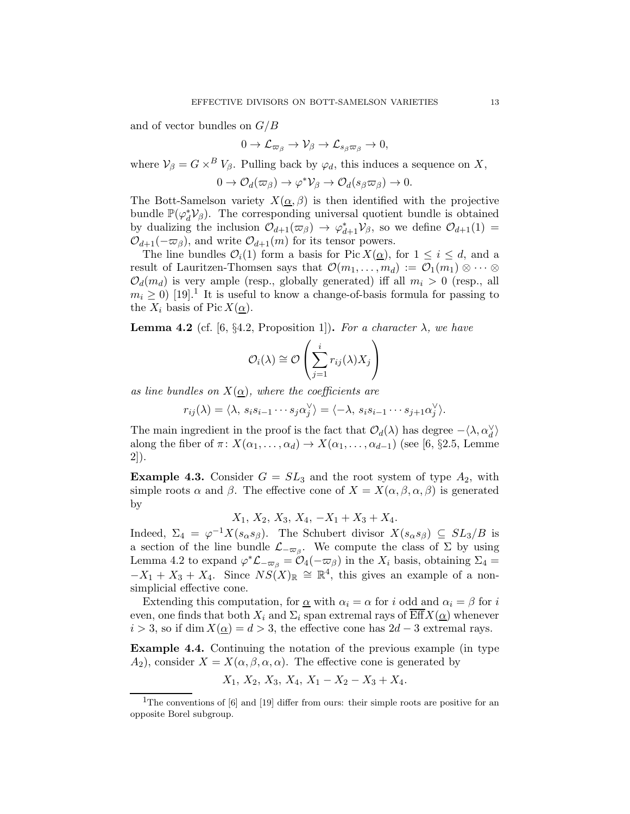and of vector bundles on  $G/B$ 

$$
0 \to \mathcal{L}_{\varpi_\beta} \to \mathcal{V}_\beta \to \mathcal{L}_{s_\beta \varpi_\beta} \to 0,
$$

where  $V_{\beta} = G \times^B V_{\beta}$ . Pulling back by  $\varphi_d$ , this induces a sequence on X,

$$
0 \to \mathcal{O}_d(\varpi_\beta) \to \varphi^* \mathcal{V}_\beta \to \mathcal{O}_d(s_\beta \varpi_\beta) \to 0.
$$

The Bott-Samelson variety  $X(\underline{\alpha}, \beta)$  is then identified with the projective bundle  $\mathbb{P}(\varphi_d^*)$  $_d^*V_\beta$ ). The corresponding universal quotient bundle is obtained by dualizing the inclusion  $\mathcal{O}_{d+1}(\varpi_{\beta}) \to \varphi_{d+1}^* \mathcal{V}_{\beta}$ , so we define  $\mathcal{O}_{d+1}(1) =$  $\mathcal{O}_{d+1}(-\varpi_{\beta})$ , and write  $\mathcal{O}_{d+1}(m)$  for its tensor powers.

The line bundles  $\mathcal{O}_i(1)$  form a basis for Pic  $X(\underline{\alpha})$ , for  $1 \leq i \leq d$ , and a result of Lauritzen-Thomsen says that  $\mathcal{O}(m_1, \ldots, m_d) := \mathcal{O}_1(m_1) \otimes \cdots \otimes$  $\mathcal{O}_d(m_d)$  is very ample (resp., globally generated) iff all  $m_i > 0$  (resp., all  $m_i \geq 0$ ) [\[19\]](#page-20-15).<sup>[1](#page-12-1)</sup> It is useful to know a change-of-basis formula for passing to the  $X_i$  basis of Pic  $X(\underline{\alpha})$ .

<span id="page-12-2"></span>**Lemma 4.2** (cf. [\[6,](#page-20-14) §4.2, Proposition 1]). For a character  $\lambda$ , we have

$$
\mathcal{O}_i(\lambda) \cong \mathcal{O}\left(\sum_{j=1}^i r_{ij}(\lambda)X_j\right)
$$

as line bundles on  $X(\alpha)$ , where the coefficients are

$$
r_{ij}(\lambda) = \langle \lambda, s_i s_{i-1} \cdots s_j \alpha_j^{\vee} \rangle = \langle -\lambda, s_i s_{i-1} \cdots s_{j+1} \alpha_j^{\vee} \rangle.
$$

The main ingredient in the proof is the fact that  $\mathcal{O}_d(\lambda)$  has degree  $-\langle \lambda, \alpha_d^{\vee} \rangle$ along the fiber of  $\pi: X(\alpha_1, \ldots, \alpha_d) \to X(\alpha_1, \ldots, \alpha_{d-1})$  (see [\[6,](#page-20-14) §2.5, Lemme 2]).

<span id="page-12-0"></span>**Example 4.3.** Consider  $G = SL_3$  and the root system of type  $A_2$ , with simple roots  $\alpha$  and  $\beta$ . The effective cone of  $X = X(\alpha, \beta, \alpha, \beta)$  is generated by

 $X_1, X_2, X_3, X_4, -X_1+X_3+X_4.$ 

Indeed,  $\Sigma_4 = \varphi^{-1} X(s_\alpha s_\beta)$ . The Schubert divisor  $X(s_\alpha s_\beta) \subseteq SL_3/B$  is a section of the line bundle  $\mathcal{L}_{-\varpi_{\beta}}$ . We compute the class of  $\Sigma$  by using Lemma [4.2](#page-12-2) to expand  $\varphi^* \mathcal{L}_{-\varpi_\beta} = \mathcal{O}_4(-\varpi_\beta)$  in the  $X_i$  basis, obtaining  $\Sigma_4 =$  $-X_1 + X_3 + X_4$ . Since  $NS(X)_{\mathbb{R}} \cong \mathbb{R}^4$ , this gives an example of a nonsimplicial effective cone.

Extending this computation, for  $\alpha$  with  $\alpha_i = \alpha$  for i odd and  $\alpha_i = \beta$  for i even, one finds that both  $X_i$  and  $\Sigma_i$  span extremal rays of Eff  $X(\alpha)$  whenever  $i > 3$ , so if dim  $X(\alpha) = d > 3$ , the effective cone has  $2d - 3$  extremal rays.

Example 4.4. Continuing the notation of the previous example (in type  $A_2$ , consider  $X = X(\alpha, \beta, \alpha, \alpha)$ . The effective cone is generated by

$$
X_1, X_2, X_3, X_4, X_1 - X_2 - X_3 + X_4.
$$

<span id="page-12-1"></span><sup>&</sup>lt;sup>1</sup>The conventions of [\[6\]](#page-20-14) and [\[19\]](#page-20-15) differ from ours: their simple roots are positive for an opposite Borel subgroup.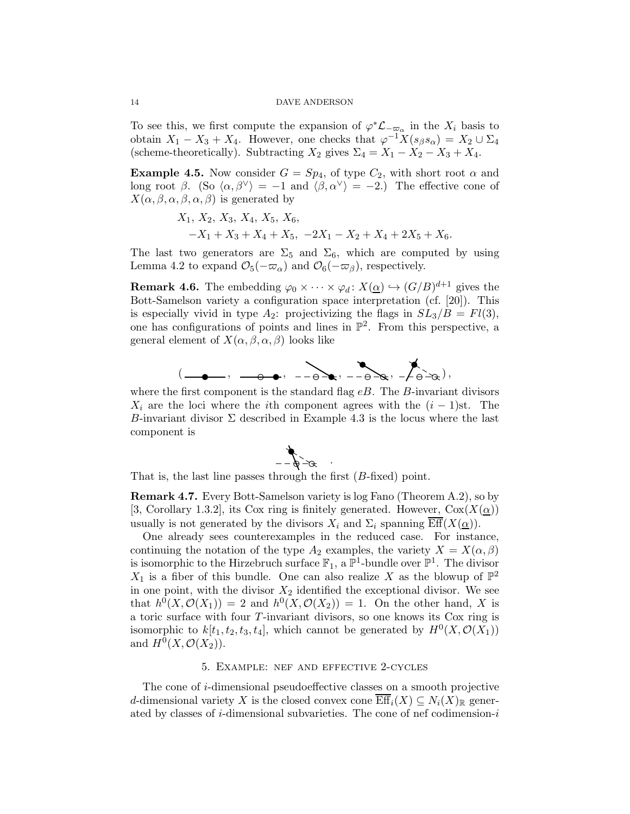To see this, we first compute the expansion of  $\varphi^* \mathcal{L}_{-\varpi_\alpha}$  in the  $X_i$  basis to obtain  $X_1 - X_3 + X_4$ . However, one checks that  $\varphi^{-1} X(s_\beta s_\alpha) = X_2 \cup \Sigma_4$ (scheme-theoretically). Subtracting  $X_2$  gives  $\Sigma_4 = X_1 - X_2 - X_3 + X_4$ .

<span id="page-13-2"></span>**Example 4.5.** Now consider  $G = Sp_4$ , of type  $C_2$ , with short root  $\alpha$  and long root  $\beta$ . (So  $\langle \alpha, \beta^{\vee} \rangle = -1$  and  $\langle \beta, \alpha^{\vee} \rangle = -2$ .) The effective cone of  $X(\alpha, \beta, \alpha, \beta, \alpha, \beta)$  is generated by

$$
X_1, X_2, X_3, X_4, X_5, X_6,
$$
  
-X<sub>1</sub>+X<sub>3</sub>+X<sub>4</sub>+X<sub>5</sub>, -2X<sub>1</sub>-X<sub>2</sub>+X<sub>4</sub>+2X<sub>5</sub>+X<sub>6</sub>.

The last two generators are  $\Sigma_5$  and  $\Sigma_6$ , which are computed by using Lemma [4.2](#page-12-2) to expand  $\mathcal{O}_5(-\varpi_\alpha)$  and  $\mathcal{O}_6(-\varpi_\beta)$ , respectively.

<span id="page-13-1"></span>**Remark 4.6.** The embedding  $\varphi_0 \times \cdots \times \varphi_d \colon X(\underline{\alpha}) \hookrightarrow (G/B)^{d+1}$  gives the Bott-Samelson variety a configuration space interpretation (cf. [\[20\]](#page-20-16)). This is especially vivid in type  $A_2$ : projectivizing the flags in  $SL_3/B = Fl(3)$ , one has configurations of points and lines in  $\mathbb{P}^2$ . From this perspective, a general element of  $X(\alpha, \beta, \alpha, \beta)$  looks like



where the first component is the standard flag  $eB$ . The B-invariant divisors  $X_i$  are the loci where the *i*th component agrees with the  $(i - 1)$ st. The B-invariant divisor  $\Sigma$  described in Example [4.3](#page-12-0) is the locus where the last component is

.



That is, the last line passes through the first  $(B\text{-fixed})$  point.

Remark 4.7. Every Bott-Samelson variety is log Fano (Theorem [A.2\)](#page-19-0), so by [\[3,](#page-20-0) Corollary 1.3.2], its Cox ring is finitely generated. However,  $Cox(X(\alpha))$ usually is not generated by the divisors  $X_i$  and  $\Sigma_i$  spanning Eff $(X(\underline{\alpha}))$ .

One already sees counterexamples in the reduced case. For instance, continuing the notation of the type  $A_2$  examples, the variety  $X = X(\alpha, \beta)$ is isomorphic to the Hirzebruch surface  $\mathbb{F}_1$ , a  $\mathbb{P}^1$ -bundle over  $\mathbb{P}^1$ . The divisor  $X_1$  is a fiber of this bundle. One can also realize X as the blowup of  $\mathbb{P}^2$ in one point, with the divisor  $X_2$  identified the exceptional divisor. We see that  $h^0(X, \mathcal{O}(X_1)) = 2$  and  $h^0(X, \mathcal{O}(X_2)) = 1$ . On the other hand, X is a toric surface with four T-invariant divisors, so one knows its Cox ring is isomorphic to  $k[t_1, t_2, t_3, t_4]$ , which cannot be generated by  $H^0(X, \mathcal{O}(X_1))$ and  $H^0(X, \mathcal{O}(X_2)).$ 

## 5. Example: nef and effective 2-cycles

<span id="page-13-0"></span>The cone of i-dimensional pseudoeffective classes on a smooth projective d-dimensional variety X is the closed convex cone  $\overline{\mathrm{Eff}}_i(X) \subseteq N_i(X)$ <sub>R</sub> generated by classes of *i*-dimensional subvarieties. The cone of nef codimension-*i*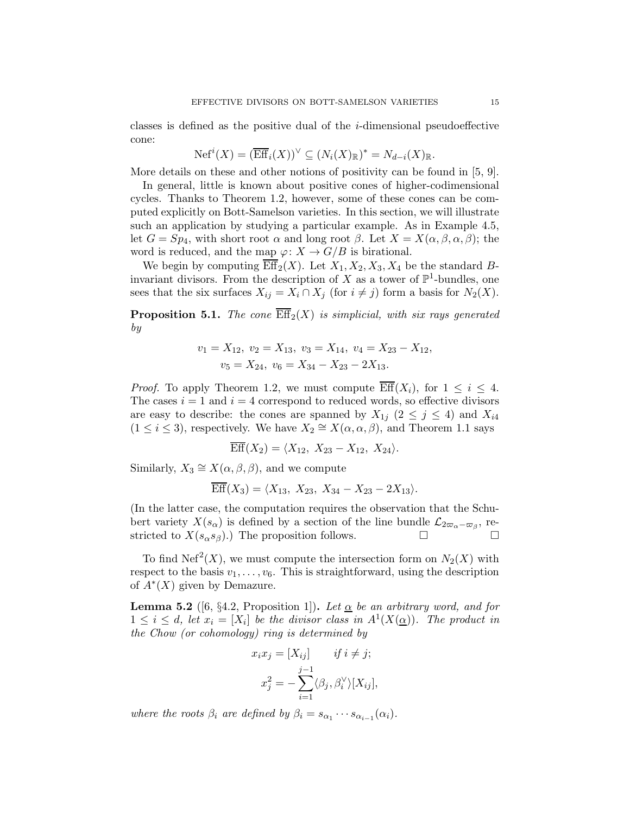classes is defined as the positive dual of the  $i$ -dimensional pseudoeffective cone:

$$
N\mathrm{ef}^i(X) = (\overline{\mathrm{Eff}}_i(X))^\vee \subseteq (N_i(X)_{\mathbb{R}})^* = N_{d-i}(X)_{\mathbb{R}}.
$$

More details on these and other notions of positivity can be found in [\[5,](#page-20-3) [9\]](#page-20-18).

In general, little is known about positive cones of higher-codimensional cycles. Thanks to Theorem [1.2,](#page-2-0) however, some of these cones can be computed explicitly on Bott-Samelson varieties. In this section, we will illustrate such an application by studying a particular example. As in Example [4.5,](#page-13-2) let  $G = Sp_4$ , with short root  $\alpha$  and long root  $\beta$ . Let  $X = X(\alpha, \beta, \alpha, \beta)$ ; the word is reduced, and the map  $\varphi: X \to G/B$  is birational.

We begin by computing  $\overline{\mathrm{Eff}}_2(X)$ . Let  $X_1, X_2, X_3, X_4$  be the standard Binvariant divisors. From the description of X as a tower of  $\mathbb{P}^1$ -bundles, one sees that the six surfaces  $X_{ij} = X_i \cap X_j$  (for  $i \neq j$ ) form a basis for  $N_2(X)$ .

**Proposition 5.1.** The cone  $\overline{\text{Eff}}_2(X)$  is simplicial, with six rays generated by

$$
v_1 = X_{12}, v_2 = X_{13}, v_3 = X_{14}, v_4 = X_{23} - X_{12},
$$
  

$$
v_5 = X_{24}, v_6 = X_{34} - X_{23} - 2X_{13}.
$$

*Proof.* To apply Theorem [1.2,](#page-2-0) we must compute  $\overline{\text{Eff}}(X_i)$ , for  $1 \leq i \leq 4$ . The cases  $i = 1$  and  $i = 4$  correspond to reduced words, so effective divisors are easy to describe: the cones are spanned by  $X_{1j}$  ( $2 \leq j \leq 4$ ) and  $X_{i4}$  $(1 \leq i \leq 3)$ , respectively. We have  $X_2 \cong X(\alpha, \alpha, \beta)$ , and Theorem [1.1](#page-1-0) says

$$
\overline{\text{Eff}}(X_2) = \langle X_{12}, X_{23} - X_{12}, X_{24} \rangle.
$$

Similarly,  $X_3 \cong X(\alpha, \beta, \beta)$ , and we compute

$$
\overline{\text{Eff}}(X_3) = \langle X_{13}, X_{23}, X_{34} - X_{23} - 2X_{13} \rangle.
$$

(In the latter case, the computation requires the observation that the Schubert variety  $X(s_\alpha)$  is defined by a section of the line bundle  $\mathcal{L}_{2\varpi_\alpha-\varpi_\beta}$ , restricted to  $X(s_{\alpha}s_{\beta})$ . The proposition follows.  $\square$ 

To find Nef<sup>2</sup> $(X)$ , we must compute the intersection form on  $N_2(X)$  with respect to the basis  $v_1, \ldots, v_6$ . This is straightforward, using the description of  $\overline{A}^*(X)$  given by Demazure.

**Lemma 5.2** ([\[6,](#page-20-14) §4.2, Proposition 1]). Let  $\alpha$  be an arbitrary word, and for  $1 \leq i \leq d$ , let  $x_i = [X_i]$  be the divisor class in  $A^1(X(\underline{\alpha}))$ . The product in the Chow (or cohomology) ring is determined by

$$
x_i x_j = [X_{ij}] \t\t if \t i \neq j;
$$
  

$$
x_j^2 = -\sum_{i=1}^{j-1} \langle \beta_j, \beta_i^{\vee} \rangle [X_{ij}],
$$

where the roots  $\beta_i$  are defined by  $\beta_i = s_{\alpha_1} \cdots s_{\alpha_{i-1}}(\alpha_i)$ .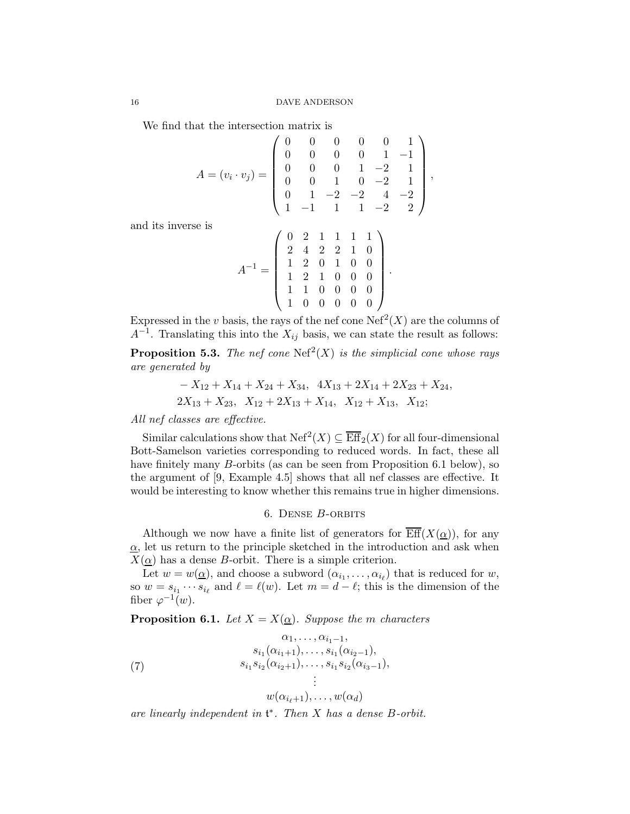We find that the intersection matrix is

$$
A = (v_i \cdot v_j) = \begin{pmatrix} 0 & 0 & 0 & 0 & 0 & 1 \\ 0 & 0 & 0 & 0 & 1 & -1 \\ 0 & 0 & 0 & 1 & -2 & 1 \\ 0 & 0 & 1 & 0 & -2 & 1 \\ 0 & 1 & -2 & -2 & 4 & -2 \\ 1 & -1 & 1 & 1 & -2 & 2 \end{pmatrix}
$$

,

and its inverse is

$$
A^{-1} = \left( \begin{array}{rrrrr} 0 & 2 & 1 & 1 & 1 & 1 \\ 2 & 4 & 2 & 2 & 1 & 0 \\ 1 & 2 & 0 & 1 & 0 & 0 \\ 1 & 2 & 1 & 0 & 0 & 0 \\ 1 & 1 & 0 & 0 & 0 & 0 \\ 1 & 0 & 0 & 0 & 0 & 0 \end{array} \right).
$$

Expressed in the v basis, the rays of the nef cone  $\text{Nef}^2(X)$  are the columns of  $A^{-1}$ . Translating this into the  $X_{ij}$  basis, we can state the result as follows:

**Proposition 5.3.** The nef cone  $\text{Nef}^2(X)$  is the simplicial cone whose rays are generated by

$$
-X_{12} + X_{14} + X_{24} + X_{34}, \quad 4X_{13} + 2X_{14} + 2X_{23} + X_{24},
$$
  

$$
2X_{13} + X_{23}, \quad X_{12} + 2X_{13} + X_{14}, \quad X_{12} + X_{13}, \quad X_{12};
$$

All nef classes are effective.

Similar calculations show that  $\mathrm{Nef}^2(X) \subseteq \overline{\mathrm{Eff}}_2(X)$  for all four-dimensional Bott-Samelson varieties corresponding to reduced words. In fact, these all have finitely many *B*-orbits (as can be seen from Proposition [6.1](#page-15-1) below), so the argument of [\[9,](#page-20-18) Example 4.5] shows that all nef classes are effective. It would be interesting to know whether this remains true in higher dimensions.

## 6. Dense B-orbits

<span id="page-15-0"></span>Although we now have a finite list of generators for  $\overline{\text{Eff}}(X(\alpha))$ , for any  $\alpha$ , let us return to the principle sketched in the introduction and ask when  $X(\alpha)$  has a dense B-orbit. There is a simple criterion.

Let  $w = w(\underline{\alpha})$ , and choose a subword  $(\alpha_{i_1}, \dots, \alpha_{i_\ell})$  that is reduced for  $w$ , so  $w = s_{i_1} \cdots s_{i_\ell}$  and  $\ell = \ell(w)$ . Let  $m = d - \ell$ ; this is the dimension of the fiber  $\varphi^{-1}(w)$ .

<span id="page-15-1"></span>**Proposition 6.1.** Let  $X = X(\underline{\alpha})$ . Suppose the m characters

<span id="page-15-2"></span>(7) 
$$
\begin{aligned}\n &\alpha_1, \dots, \alpha_{i_1-1}, \\
 &\quad s_{i_1}(\alpha_{i_1+1}), \dots, s_{i_1}(\alpha_{i_2-1}), \\
 &\quad s_{i_1} s_{i_2}(\alpha_{i_2+1}), \dots, s_{i_1} s_{i_2}(\alpha_{i_3-1}), \\
 &\vdots \\
 &\quad w(\alpha_{i_{\ell}+1}), \dots, w(\alpha_d)\n\end{aligned}
$$

are linearly independent in  $\mathfrak{t}^*$ . Then X has a dense B-orbit.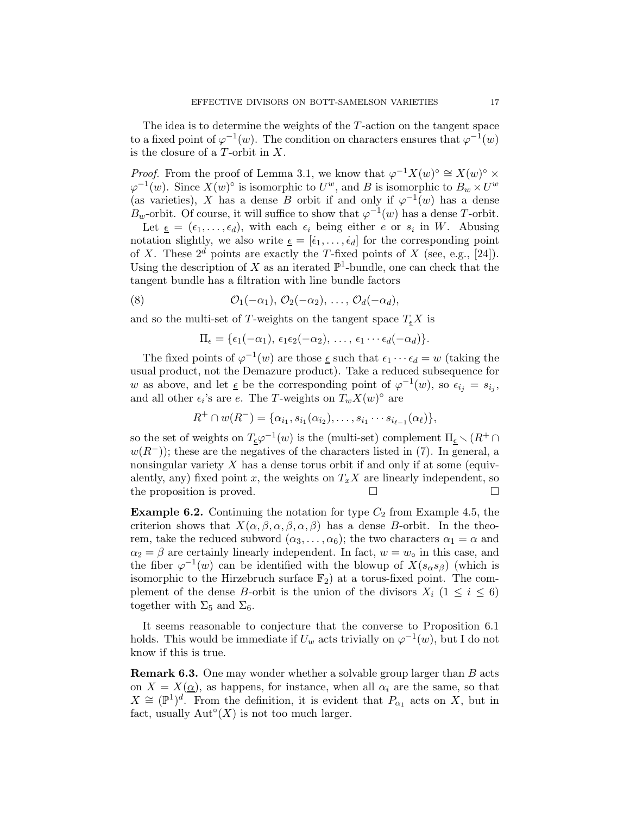The idea is to determine the weights of the T-action on the tangent space to a fixed point of  $\varphi^{-1}(w)$ . The condition on characters ensures that  $\varphi^{-1}(w)$ is the closure of a  $T$ -orbit in  $X$ .

*Proof.* From the proof of Lemma [3.1,](#page-4-1) we know that  $\varphi^{-1}X(w)$ <sup>o</sup>  $\cong X(w)$ <sup>o</sup>  $\times$  $\varphi^{-1}(w)$ . Since  $\hat{X(w)}^{\circ}$  is isomorphic to  $U^w$ , and B is isomorphic to  $B_w \times U^w$ (as varieties), X has a dense B orbit if and only if  $\varphi^{-1}(w)$  has a dense  $B_w$ -orbit. Of course, it will suffice to show that  $\varphi^{-1}(w)$  has a dense T-orbit.

Let  $\underline{\epsilon} = (\epsilon_1, \ldots, \epsilon_d)$ , with each  $\epsilon_i$  being either e or  $s_i$  in W. Abusing notation slightly, we also write  $\underline{\epsilon} = [\dot{\epsilon}_1, \ldots, \dot{\epsilon}_d]$  for the corresponding point of X. These  $2^d$  points are exactly the T-fixed points of X (see, e.g., [\[24\]](#page-20-17)). Using the description of X as an iterated  $\mathbb{P}^1$ -bundle, one can check that the tangent bundle has a filtration with line bundle factors

(8) 
$$
\mathcal{O}_1(-\alpha_1), \mathcal{O}_2(-\alpha_2), \ldots, \mathcal{O}_d(-\alpha_d),
$$

and so the multi-set of T-weights on the tangent space  $T_{\epsilon}X$  is

$$
\Pi_{\epsilon} = {\epsilon_1(-\alpha_1), \epsilon_1\epsilon_2(-\alpha_2), \ldots, \epsilon_1\cdots\epsilon_d(-\alpha_d)}.
$$

The fixed points of  $\varphi^{-1}(w)$  are those <u> $\epsilon$ </u> such that  $\epsilon_1 \cdots \epsilon_d = w$  (taking the usual product, not the Demazure product). Take a reduced subsequence for w as above, and let  $\epsilon$  be the corresponding point of  $\varphi^{-1}(w)$ , so  $\epsilon_{i_j} = s_{i_j}$ , and all other  $\epsilon_i$ 's are e. The T-weights on  $T_w X(w)$ <sup>°</sup> are

$$
R^+ \cap w(R^-) = \{ \alpha_{i_1}, s_{i_1}(\alpha_{i_2}), \ldots, s_{i_1} \cdots s_{i_{\ell-1}}(\alpha_{\ell}) \},
$$

so the set of weights on  $T_{\underline{\epsilon}}\varphi^{-1}(w)$  is the (multi-set) complement  $\Pi_{\underline{\epsilon}} \setminus (R^+ \cap$  $w(R<sup>-</sup>)$ ; these are the negatives of the characters listed in [\(7\)](#page-15-2). In general, a nonsingular variety  $X$  has a dense torus orbit if and only if at some (equivalently, any) fixed point x, the weights on  $T_xX$  are linearly independent, so the proposition is proved.

**Example 6.2.** Continuing the notation for type  $C_2$  from Example [4.5,](#page-13-2) the criterion shows that  $X(\alpha, \beta, \alpha, \beta, \alpha, \beta)$  has a dense B-orbit. In the theorem, take the reduced subword  $(\alpha_3, \ldots, \alpha_6)$ ; the two characters  $\alpha_1 = \alpha$  and  $\alpha_2 = \beta$  are certainly linearly independent. In fact,  $w = w<sub>o</sub>$  in this case, and the fiber  $\varphi^{-1}(w)$  can be identified with the blowup of  $X(s_{\alpha}s_{\beta})$  (which is isomorphic to the Hirzebruch surface  $\mathbb{F}_2$ ) at a torus-fixed point. The complement of the dense B-orbit is the union of the divisors  $X_i$  ( $1 \leq i \leq 6$ ) together with  $\Sigma_5$  and  $\Sigma_6$ .

It seems reasonable to conjecture that the converse to Proposition [6.1](#page-15-1) holds. This would be immediate if  $U_w$  acts trivially on  $\varphi^{-1}(w)$ , but I do not know if this is true.

<span id="page-16-0"></span>Remark 6.3. One may wonder whether a solvable group larger than B acts on  $X = X(\underline{\alpha})$ , as happens, for instance, when all  $\alpha_i$  are the same, so that  $X \cong (\mathbb{P}^1)^d$ . From the definition, it is evident that  $P_{\alpha_1}$  acts on X, but in fact, usually  $\mathrm{Aut}^\circ(X)$  is not too much larger.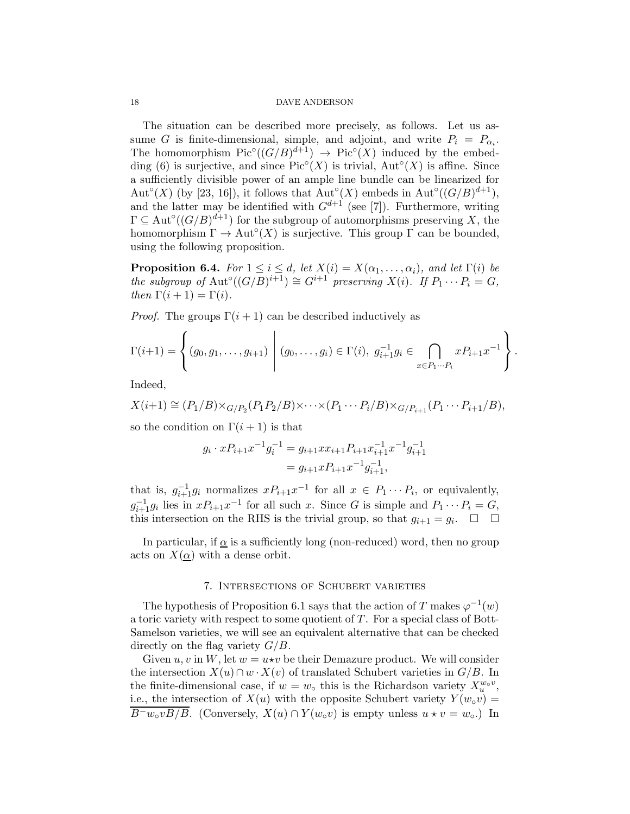The situation can be described more precisely, as follows. Let us assume G is finite-dimensional, simple, and adjoint, and write  $P_i = P_{\alpha_i}$ . The homomorphism  $Pic^{\circ}((G/B)^{d+1}) \rightarrow Pic^{\circ}(X)$  induced by the embed-ding [\(6\)](#page-11-0) is surjective, and since  $Pic^{\circ}(X)$  is trivial,  $Aut^{\circ}(X)$  is affine. Since a sufficiently divisible power of an ample line bundle can be linearized for Aut°(X) (by [\[23,](#page-20-1) [16\]](#page-20-2)), it follows that  $\text{Aut}^{\circ}(X)$  embeds in  $\text{Aut}^{\circ}((G/B)^{d+1})$ , and the latter may be identified with  $G^{d+1}$  (see [\[7\]](#page-20-19)). Furthermore, writing  $\Gamma \subseteq \text{Aut}^{\circ}((G/B)^{d+1})$  for the subgroup of automorphisms preserving X, the homomorphism  $\Gamma \to \text{Aut}^{\circ}(X)$  is surjective. This group  $\Gamma$  can be bounded, using the following proposition.

**Proposition 6.4.** For  $1 \leq i \leq d$ , let  $X(i) = X(\alpha_1, \ldots, \alpha_i)$ , and let  $\Gamma(i)$  be the subgroup of  $\mathrm{Aut}^{\circ}((G/B)^{i+1}) \cong G^{i+1}$  preserving  $X(i)$ . If  $P_1 \cdots P_i = G$ , then  $\Gamma(i+1) = \Gamma(i)$ .

*Proof.* The groups  $\Gamma(i + 1)$  can be described inductively as

$$
\Gamma(i+1) = \left\{ (g_0, g_1, \dots, g_{i+1}) \middle| (g_0, \dots, g_i) \in \Gamma(i), \ g_{i+1}^{-1} g_i \in \bigcap_{x \in P_1 \dots P_i} x P_{i+1} x^{-1} \right\}.
$$

Indeed,

$$
X(i+1) \cong (P_1/B) \times_{G/P_2}(P_1P_2/B) \times \cdots \times (P_1 \cdots P_i/B) \times_{G/P_{i+1}}(P_1 \cdots P_{i+1}/B),
$$

so the condition on  $\Gamma(i+1)$  is that

$$
g_i \cdot x P_{i+1} x^{-1} g_i^{-1} = g_{i+1} x x_{i+1} P_{i+1} x_{i+1}^{-1} x^{-1} g_{i+1}^{-1}
$$
  
=  $g_{i+1} x P_{i+1} x^{-1} g_{i+1}^{-1}$ ,

that is,  $g_{i+1}^{-1}g_i$  normalizes  $xP_{i+1}x^{-1}$  for all  $x \in P_1 \cdots P_i$ , or equivalently,  $g_{i+1}^{-1}g_i$  lies in  $xP_{i+1}x^{-1}$  for all such x. Since G is simple and  $P_1 \cdots P_i = G$ , this intersection on the RHS is the trivial group, so that  $g_{i+1} = g_i$ .  $\Box$   $\Box$ 

In particular, if  $\alpha$  is a sufficiently long (non-reduced) word, then no group acts on  $X(\underline{\alpha})$  with a dense orbit.

### 7. Intersections of Schubert varieties

<span id="page-17-0"></span>The hypothesis of Proposition [6.1](#page-15-1) says that the action of T makes  $\varphi^{-1}(w)$ a toric variety with respect to some quotient of T. For a special class of Bott-Samelson varieties, we will see an equivalent alternative that can be checked directly on the flag variety  $G/B$ .

Given u, v in W, let  $w = u \star v$  be their Demazure product. We will consider the intersection  $X(u) \cap w \cdot X(v)$  of translated Schubert varieties in  $G/B$ . In the finite-dimensional case, if  $w = w<sub>o</sub>$  this is the Richardson variety  $X_u^{w<sub>o</sub>}$ , i.e., the intersection of  $X(u)$  with the opposite Schubert variety  $Y(w_0v) =$  $B^-w_0vB/\overline{B}$ . (Conversely,  $X(u) \cap Y(w_0v)$  is empty unless  $u \star v = w_0$ .) In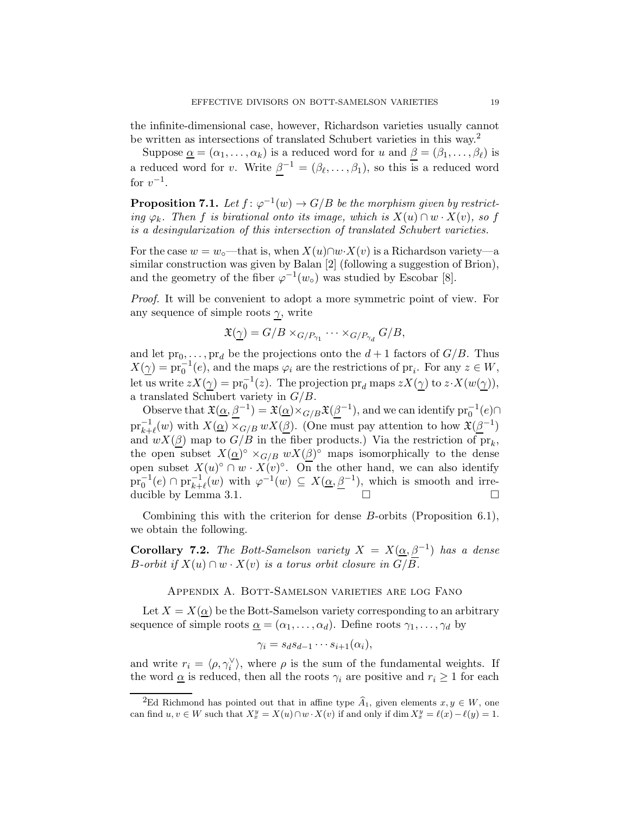the infinite-dimensional case, however, Richardson varieties usually cannot be written as intersections of translated Schubert varieties in this way.<sup>[2](#page-18-0)</sup>

Suppose  $\underline{\alpha} = (\alpha_1, \ldots, \alpha_k)$  is a reduced word for u and  $\underline{\beta} = (\beta_1, \ldots, \beta_\ell)$  is a reduced word for v. Write  $\beta^{-1} = (\beta_{\ell}, \ldots, \beta_1)$ , so this is a reduced word for  $v^{-1}$ .

**Proposition 7.1.** Let  $f: \varphi^{-1}(w) \to G/B$  be the morphism given by restricting  $\varphi_k$ . Then f is birational onto its image, which is  $X(u) \cap w \cdot X(v)$ , so f is a desingularization of this intersection of translated Schubert varieties.

For the case  $w = w_\circ$ —that is, when  $X(u) \cap w \cdot X(v)$  is a Richardson variety—a similar construction was given by Balan [\[2\]](#page-20-20) (following a suggestion of Brion), and the geometry of the fiber  $\varphi^{-1}(w_\circ)$  was studied by Escobar [\[8\]](#page-20-21).

Proof. It will be convenient to adopt a more symmetric point of view. For any sequence of simple roots  $\gamma$ , write

$$
\mathfrak{X}(\underline{\gamma})=G/B\times_{G/P_{\gamma_1}} \cdots \times_{G/P_{\gamma_d}} G/B,
$$

and let  $\text{pr}_0, \ldots, \text{pr}_d$  be the projections onto the  $d+1$  factors of  $G/B$ . Thus  $X(\underline{\gamma}) = \text{pr}_0^{-1}(e)$ , and the maps  $\varphi_i$  are the restrictions of  $\text{pr}_i$ . For any  $z \in W$ , let us write  $zX(\gamma) = \text{pr}_0^{-1}(z)$ . The projection  $\text{pr}_d$  maps  $zX(\gamma)$  to  $z \cdot X(w(\gamma))$ , a translated Schubert variety in  $G/B$ .

Observe that  $\mathfrak{X}(\underline{\alpha}, \underline{\beta}^{-1}) = \mathfrak{X}(\underline{\alpha}) \times_{G/B} \mathfrak{X}(\underline{\beta}^{-1})$ , and we can identify  $\mathrm{pr}_0^{-1}(e) \cap$  $\text{pr}_{k+\ell}^{-1}(w)$  with  $X(\underline{\alpha}) \times_{G/B} wX(\underline{\beta})$ . (One must pay attention to how  $\mathfrak{X}(\underline{\beta}^{-1})$ and  $wX(\underline{\beta})$  map to  $G/B$  in the fiber products.) Via the restriction of  $pr_k$ , the open subset  $X(\underline{\alpha})^{\circ} \times_{G/B} w X(\underline{\beta})^{\circ}$  maps isomorphically to the dense open subset  $X(u)^\circ \cap w \cdot X(v)^\circ$ . On the other hand, we can also identify  $\text{pr}_0^{-1}(e) \cap \text{pr}_{k+\ell}^{-1}(w)$  with  $\varphi^{-1}(w) \subseteq X(\underline{\alpha}, \underline{\beta}^{-1}),$  which is smooth and irre-ducible by Lemma [3.1.](#page-4-1)

Combining this with the criterion for dense B-orbits (Proposition [6.1\)](#page-15-1), we obtain the following.

**Corollary 7.2.** The Bott-Samelson variety  $X = X(\underline{\alpha}, \beta^{-1})$  has a dense B-orbit if  $X(u) \cap w \cdot X(v)$  is a torus orbit closure in  $G/B$ .

Appendix A. Bott-Samelson varieties are log Fano

Let  $X = X(\underline{\alpha})$  be the Bott-Samelson variety corresponding to an arbitrary sequence of simple roots  $\underline{\alpha} = (\alpha_1, \ldots, \alpha_d)$ . Define roots  $\gamma_1, \ldots, \gamma_d$  by

$$
\gamma_i = s_d s_{d-1} \cdots s_{i+1}(\alpha_i),
$$

and write  $r_i = \langle \rho, \gamma_i^{\vee} \rangle$ , where  $\rho$  is the sum of the fundamental weights. If the word  $\alpha$  is reduced, then all the roots  $\gamma_i$  are positive and  $r_i \geq 1$  for each

<span id="page-18-0"></span><sup>&</sup>lt;sup>2</sup>Ed Richmond has pointed out that in affine type  $\widehat{A}_1$ , given elements  $x, y \in W$ , one can find  $u, v \in W$  such that  $X_x^y = X(u) \cap w \cdot X(v)$  if and only if  $\dim X_x^y = \ell(x) - \ell(y) = 1$ .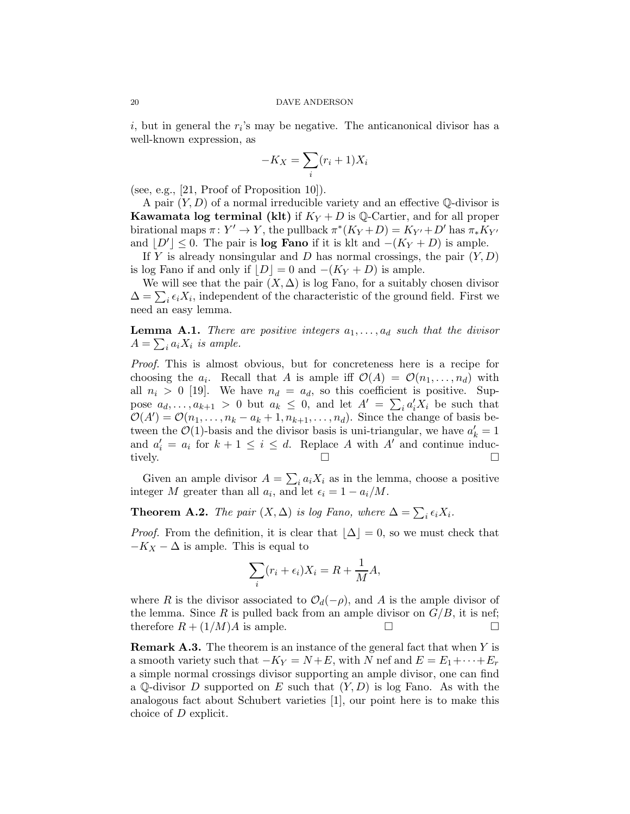$i$ , but in general the  $r_i$ 's may be negative. The anticanonical divisor has a well-known expression, as

$$
-K_X = \sum_i (r_i + 1)X_i
$$

(see, e.g., [\[21,](#page-20-22) Proof of Proposition 10]).

A pair  $(Y, D)$  of a normal irreducible variety and an effective  $\mathbb Q$ -divisor is **Kawamata log terminal (klt)** if  $K_Y + D$  is Q-Cartier, and for all proper birational maps  $\pi: Y' \to Y$ , the pullback  $\pi^*(K_Y + D) = K_{Y'} + D'$  has  $\pi^*K_{Y'}$ and  $[D'] \leq 0$ . The pair is **log Fano** if it is klt and  $-(K_Y + D)$  is ample.

If Y is already nonsingular and D has normal crossings, the pair  $(Y, D)$ is log Fano if and only if  $|D| = 0$  and  $-(K_Y + D)$  is ample.

We will see that the pair  $(X, \Delta)$  is log Fano, for a suitably chosen divisor  $\Delta = \sum_i \epsilon_i X_i$ , independent of the characteristic of the ground field. First we need an easy lemma.

**Lemma A.1.** There are positive integers  $a_1, \ldots, a_d$  such that the divisor  $A = \sum_i a_i X_i$  is ample.

Proof. This is almost obvious, but for concreteness here is a recipe for choosing the  $a_i$ . Recall that A is ample iff  $\mathcal{O}(A) = \mathcal{O}(n_1, \ldots, n_d)$  with all  $n_i > 0$  [\[19\]](#page-20-15). We have  $n_d = a_d$ , so this coefficient is positive. Suppose  $a_d, \ldots, a_{k+1} > 0$  but  $a_k \leq 0$ , and let  $A' = \sum_i a'_i X_i$  be such that  $\mathcal{O}(A') = \mathcal{O}(n_1, \ldots, n_k - a_k + 1, n_{k+1}, \ldots, n_d)$ . Since the change of basis between the  $\mathcal{O}(1)$ -basis and the divisor basis is uni-triangular, we have  $a'_k = 1$ and  $a'_i = a_i$  for  $k + 1 \leq i \leq d$ . Replace A with A' and continue inductively.

Given an ample divisor  $A = \sum_i a_i X_i$  as in the lemma, choose a positive integer M greater than all  $a_i$ , and let  $\epsilon_i = 1 - a_i/M$ .

<span id="page-19-0"></span>**Theorem A.2.** The pair  $(X, \Delta)$  is log Fano, where  $\Delta = \sum_i \epsilon_i X_i$ .

*Proof.* From the definition, it is clear that  $|\Delta| = 0$ , so we must check that  $-K_X - \Delta$  is ample. This is equal to

$$
\sum_{i} (r_i + \epsilon_i) X_i = R + \frac{1}{M} A,
$$

where R is the divisor associated to  $\mathcal{O}_d(-\rho)$ , and A is the ample divisor of the lemma. Since R is pulled back from an ample divisor on  $G/B$ , it is nef; therefore  $R + (1/M)A$  is ample.  $\square$ 

**Remark A.3.** The theorem is an instance of the general fact that when  $Y$  is a smooth variety such that  $-K_Y = N + E$ , with N nef and  $E = E_1 + \cdots + E_r$ a simple normal crossings divisor supporting an ample divisor, one can find a Q-divisor D supported on E such that  $(Y, D)$  is log Fano. As with the analogous fact about Schubert varieties [\[1\]](#page-20-23), our point here is to make this choice of D explicit.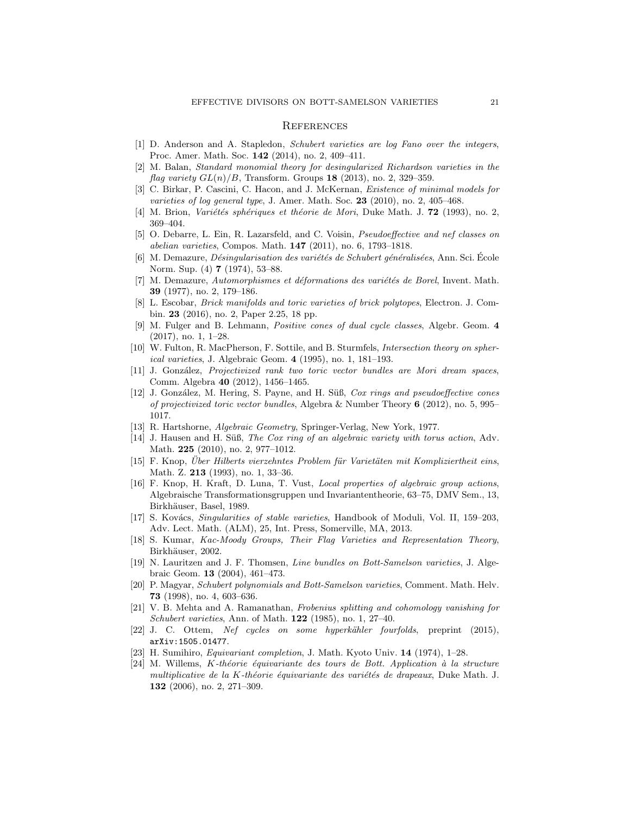### **REFERENCES**

- <span id="page-20-23"></span>[1] D. Anderson and A. Stapledon, Schubert varieties are log Fano over the integers, Proc. Amer. Math. Soc. 142 (2014), no. 2, 409–411.
- <span id="page-20-20"></span>[2] M. Balan, Standard monomial theory for desingularized Richardson varieties in the flag variety  $GL(n)/B$ , Transform. Groups 18 (2013), no. 2, 329–359.
- <span id="page-20-0"></span>C. Birkar, P. Cascini, C. Hacon, and J. McKernan, *Existence of minimal models for* varieties of log general type, J. Amer. Math. Soc.  $23$  (2010), no. 2, 405–468.
- <span id="page-20-6"></span><span id="page-20-3"></span>[4] M. Brion, *Variétés sphériques et théorie de Mori*, Duke Math. J. **72** (1993), no. 2, 369–404.
- [5] O. Debarre, L. Ein, R. Lazarsfeld, and C. Voisin, Pseudoeffective and nef classes on abelian varieties, Compos. Math. 147 (2011), no. 6, 1793–1818.
- <span id="page-20-14"></span>[6] M. Demazure, *Désingularisation des variétés de Schubert généralisées*, Ann. Sci. École Norm. Sup. (4) 7 (1974), 53–88.
- <span id="page-20-19"></span>[7] M. Demazure, Automorphismes et déformations des variétés de Borel, Invent. Math. 39 (1977), no. 2, 179–186.
- <span id="page-20-21"></span>[8] L. Escobar, Brick manifolds and toric varieties of brick polytopes, Electron. J. Combin. 23 (2016), no. 2, Paper 2.25, 18 pp.
- <span id="page-20-18"></span>[9] M. Fulger and B. Lehmann, Positive cones of dual cycle classes, Algebr. Geom. 4 (2017), no. 1, 1–28.
- <span id="page-20-7"></span>[10] W. Fulton, R. MacPherson, F. Sottile, and B. Sturmfels, Intersection theory on spherical varieties, J. Algebraic Geom. 4 (1995), no. 1, 181–193.
- <span id="page-20-13"></span>[11] J. González, *Projectivized rank two toric vector bundles are Mori dream spaces*, Comm. Algebra 40 (2012), 1456–1465.
- <span id="page-20-10"></span>[12] J. González, M. Hering, S. Payne, and H. Süß, Cox rings and pseudoeffective cones of projectivized toric vector bundles, Algebra & Number Theory 6 (2012), no. 5, 995– 1017.
- <span id="page-20-12"></span><span id="page-20-8"></span>[13] R. Hartshorne, Algebraic Geometry, Springer-Verlag, New York, 1977.
- [14] J. Hausen and H. Süß, The Cox ring of an algebraic variety with torus action, Adv. Math. **225** (2010), no. 2, 977-1012.
- <span id="page-20-11"></span>[15] F. Knop, *Über Hilberts vierzehntes Problem für Varietäten mit Kompliziertheit eins*, Math. Z. 213 (1993), no. 1, 33–36.
- <span id="page-20-2"></span>[16] F. Knop, H. Kraft, D. Luna, T. Vust, Local properties of algebraic group actions, Algebraische Transformationsgruppen und Invariantentheorie, 63–75, DMV Sem., 13, Birkhäuser, Basel, 1989.
- <span id="page-20-9"></span>[17] S. Kovács, *Singularities of stable varieties*, Handbook of Moduli, Vol. II, 159–203, Adv. Lect. Math. (ALM), 25, Int. Press, Somerville, MA, 2013.
- <span id="page-20-5"></span>[18] S. Kumar, Kac-Moody Groups, Their Flag Varieties and Representation Theory, Birkhäuser, 2002.
- <span id="page-20-15"></span>[19] N. Lauritzen and J. F. Thomsen, Line bundles on Bott-Samelson varieties, J. Algebraic Geom. 13 (2004), 461–473.
- <span id="page-20-16"></span>[20] P. Magyar, Schubert polynomials and Bott-Samelson varieties, Comment. Math. Helv. 73 (1998), no. 4, 603–636.
- <span id="page-20-22"></span>[21] V. B. Mehta and A. Ramanathan, Frobenius splitting and cohomology vanishing for Schubert varieties, Ann. of Math. 122 (1985), no. 1, 27–40.
- <span id="page-20-4"></span><span id="page-20-1"></span>[22] J. C. Ottem, Nef cycles on some hyperkähler fourfolds, preprint (2015), arXiv:1505.01477.
- <span id="page-20-17"></span>[23] H. Sumihiro, Equivariant completion, J. Math. Kyoto Univ. 14 (1974), 1–28.
- [24] M. Willems, K-théorie équivariante des tours de Bott. Application à la structure multiplicative de la K-théorie équivariante des variétés de drapeaux, Duke Math. J. 132 (2006), no. 2, 271–309.